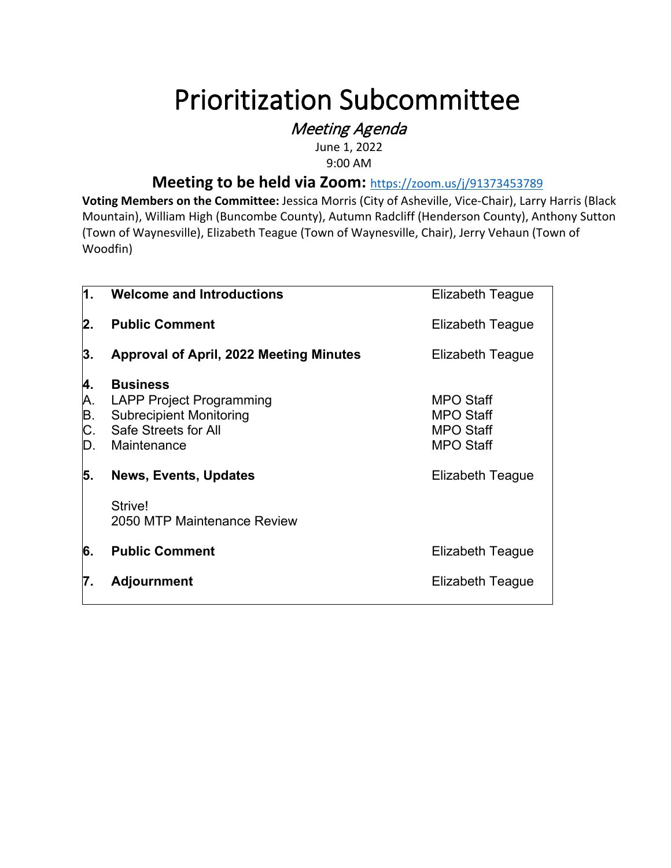# Prioritization Subcommittee<br>*Meeting Agenda*

June 1, 2022 9:00 AM

# **Meeting to be held via Zoom:** <https://zoom.us/j/91373453789>

**Voting Members on the Committee:** Jessica Morris (City of Asheville, Vice-Chair), Larry Harris (Black Mountain), William High (Buncombe County), Autumn Radcliff (Henderson County), Anthony Sutton (Town of Waynesville), Elizabeth Teague (Town of Waynesville, Chair), Jerry Vehaun (Town of Woodfin)

| 1.                         | Welcome and Introductions                                                                                                   | <b>Elizabeth Teague</b>                                                      |
|----------------------------|-----------------------------------------------------------------------------------------------------------------------------|------------------------------------------------------------------------------|
| 2.                         | <b>Public Comment</b>                                                                                                       | Elizabeth Teague                                                             |
| 3.                         | <b>Approval of April, 2022 Meeting Minutes</b>                                                                              | Elizabeth Teague                                                             |
| 4.<br>Α.<br>Β.<br>C.<br>D. | <b>Business</b><br><b>LAPP Project Programming</b><br><b>Subrecipient Monitoring</b><br>Safe Streets for All<br>Maintenance | <b>MPO Staff</b><br><b>MPO Staff</b><br><b>MPO Staff</b><br><b>MPO Staff</b> |
| 5.                         | <b>News, Events, Updates</b>                                                                                                | <b>Elizabeth Teague</b>                                                      |
|                            | Strive!<br>2050 MTP Maintenance Review                                                                                      |                                                                              |
| 6.                         | <b>Public Comment</b>                                                                                                       | Elizabeth Teague                                                             |
| 7.                         | <b>Adjournment</b>                                                                                                          | Elizabeth Teague                                                             |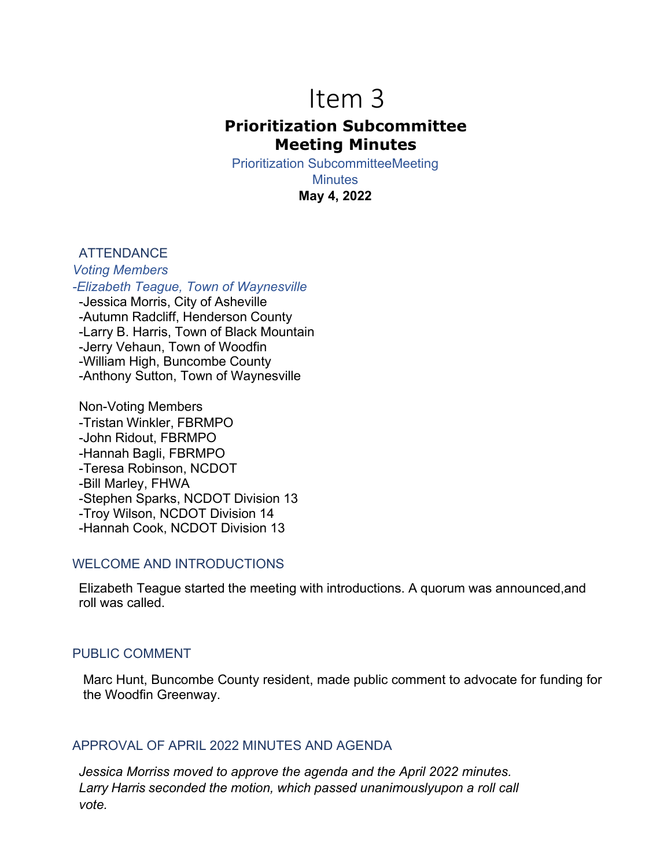# Item 3 **Prioritization Subcommittee Meeting Minutes**

Prioritization SubcommitteeMeeting

**Minutes May 4, 2022**

## **ATTENDANCE**

*Voting Members -Elizabeth Teague, Town of Waynesville* -Jessica Morris, City of Asheville -Autumn Radcliff, Henderson County -Larry B. Harris, Town of Black Mountain -Jerry Vehaun, Town of Woodfin -William High, Buncombe County -Anthony Sutton, Town of Waynesville

Non-Voting Members -Tristan Winkler, FBRMPO -John Ridout, FBRMPO -Hannah Bagli, FBRMPO -Teresa Robinson, NCDOT -Bill Marley, FHWA -Stephen Sparks, NCDOT Division 13 -Troy Wilson, NCDOT Division 14 -Hannah Cook, NCDOT Division 13

### WELCOME AND INTRODUCTIONS

Elizabeth Teague started the meeting with introductions. A quorum was announced,and roll was called.

## PUBLIC COMMENT

Marc Hunt, Buncombe County resident, made public comment to advocate for funding for the Woodfin Greenway.

# APPROVAL OF APRIL 2022 MINUTES AND AGENDA

*Jessica Morriss moved to approve the agenda and the April 2022 minutes. Larry Harris seconded the motion, which passed unanimouslyupon a roll call vote.*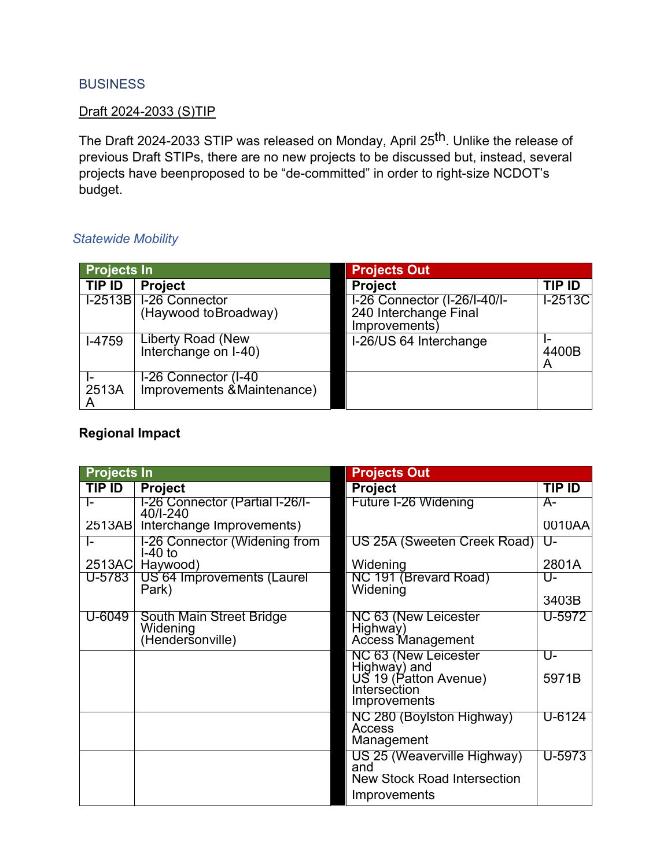## **BUSINESS**

### Draft 2024-2033 (S)TIP

The Draft 2024-2033 STIP was released on Monday, April 25th. Unlike the release of previous Draft STIPs, there are no new projects to be discussed but, instead, several projects have beenproposed to be "de-committed" in order to right-size NCDOT's budget.

# *Statewide Mobility*

| Projects In |                                                     | <b>Projects Out</b>                                                   |            |  |  |  |  |
|-------------|-----------------------------------------------------|-----------------------------------------------------------------------|------------|--|--|--|--|
| TIP ID      | <b>Project</b>                                      | <b>Project</b>                                                        | TIP ID     |  |  |  |  |
|             | I-2513B I-26 Connector<br>(Haywood to Broadway)     | I-26 Connector (I-26/I-40/I-<br>240 Interchange Final<br>Improvements | $T-2513C$  |  |  |  |  |
| I-4759      | Liberty Road (New<br>Interchange on I-40)           | I-26/US 64 Interchange                                                | 4400B<br>A |  |  |  |  |
| 2513A       | I-26 Connector (I-40<br>Improvements & Maintenance) |                                                                       |            |  |  |  |  |

# **Regional Impact**

| <b>Projects In</b> |                                                          | <b>Projects Out</b>                                                                      |        |
|--------------------|----------------------------------------------------------|------------------------------------------------------------------------------------------|--------|
| TIP ID             | <b>Project</b>                                           | <b>Project</b>                                                                           | TIP ID |
| I-                 | I-26 Connector (Partial I-26/I-<br>40/I-240              | Future I-26 Widening                                                                     | A-     |
|                    | 2513AB Interchange Improvements)                         |                                                                                          | 0010AA |
| I-                 | I-26 Connector (Widening from<br>$I-40$ to               | US 25A (Sweeten Creek Road)                                                              | Ծ-     |
| 2513AC             | Haywood)                                                 | Widening                                                                                 | 2801A  |
| U-5783             | US 64 Improvements (Laurel<br>Park)                      | NC 191 (Brevard Road)<br>Widening                                                        | U-     |
|                    |                                                          |                                                                                          | 3403B  |
| U-6049             | South Main Street Bridge<br>Widening<br>(Hendersonville) | NC 63 (New Leicester<br>Highway)<br>Access Management                                    | U-5972 |
|                    |                                                          | NC 63 (New Leicester<br>Highway) and                                                     | U-     |
|                    |                                                          | US 19 (Patton Avenue)<br>Intersection<br>Improvements                                    | 5971B  |
|                    |                                                          | NC 280 (Boylston Highway)<br>Access<br>Management                                        | U-6124 |
|                    |                                                          | US 25 (Weaverville Highway)<br>and<br><b>New Stock Road Intersection</b><br>Improvements | U-5973 |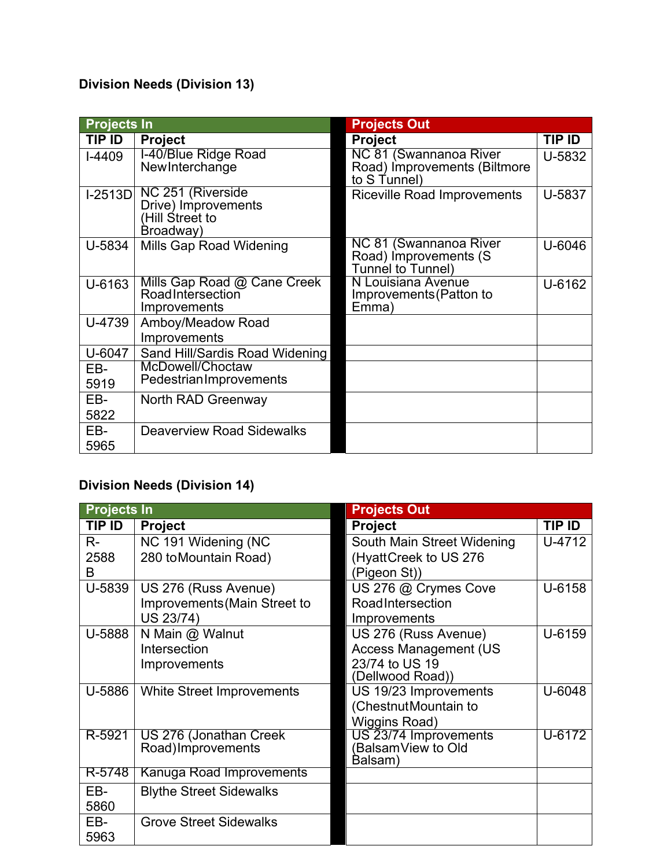# **Division Needs (Division 13)**

| <b>Projects In</b> |                                                                          | <b>Projects Out</b>                                                    |        |
|--------------------|--------------------------------------------------------------------------|------------------------------------------------------------------------|--------|
| TIP ID             | <b>Project</b>                                                           | <b>Project</b>                                                         | TIP ID |
| $I-4409$           | I-40/Blue Ridge Road<br>NewInterchange                                   | NC 81 (Swannanoa River<br>Road) Improvements (Biltmore<br>to S Tunnel) | U-5832 |
| $1-2513D$          | NC 251 (Riverside<br>Drive) Improvements<br>(Hill Street to<br>Broadway) | <b>Riceville Road Improvements</b>                                     | U-5837 |
| U-5834             | Mills Gap Road Widening                                                  | NC 81 (Swannanoa River<br>Road) Improvements (S<br>Tunnel to Tunnel)   | U-6046 |
| U-6163             | Mills Gap Road @ Cane Creek<br>RoadIntersection<br>Improvements          | N Louisiana Avenue<br>Improvements (Patton to<br>Emma)                 | U-6162 |
| U-4739             | Amboy/Meadow Road<br>Improvements                                        |                                                                        |        |
| U-6047             | Sand Hill/Sardis Road Widening                                           |                                                                        |        |
| EB-<br>5919        | McDowell/Choctaw<br>PedestrianImprovements                               |                                                                        |        |
| EB-<br>5822        | North RAD Greenway                                                       |                                                                        |        |
| EB-<br>5965        | <b>Deaverview Road Sidewalks</b>                                         |                                                                        |        |

# **Division Needs (Division 14)**

| <b>Projects In</b> |                                               | <b>Projects Out</b>                         |        |  |  |  |  |  |
|--------------------|-----------------------------------------------|---------------------------------------------|--------|--|--|--|--|--|
| TIP ID             | <b>Project</b>                                | <b>Project</b>                              | TIP ID |  |  |  |  |  |
| $R -$              | NC 191 Widening (NC                           | South Main Street Widening                  | U-4712 |  |  |  |  |  |
| 2588               | 280 to Mountain Road)                         | (HyattCreek to US 276                       |        |  |  |  |  |  |
| B                  |                                               | (Pigeon St))                                |        |  |  |  |  |  |
| U-5839             | US 276 (Russ Avenue)                          | US 276 @ Crymes Cove                        | U-6158 |  |  |  |  |  |
|                    | Improvements (Main Street to                  | RoadIntersection                            |        |  |  |  |  |  |
|                    | US 23/74)                                     | Improvements                                |        |  |  |  |  |  |
| U-5888             | N Main @ Walnut                               | US 276 (Russ Avenue)                        | U-6159 |  |  |  |  |  |
|                    | Intersection                                  | <b>Access Management (US</b>                |        |  |  |  |  |  |
|                    | Improvements                                  | 23/74 to US 19                              |        |  |  |  |  |  |
|                    |                                               | (Dellwood Road))                            |        |  |  |  |  |  |
| U-5886             | White Street Improvements                     | US 19/23 Improvements                       | U-6048 |  |  |  |  |  |
|                    |                                               | (ChestnutMountain to                        |        |  |  |  |  |  |
|                    |                                               | Wiggins Road)                               |        |  |  |  |  |  |
| R-5921             | US 276 (Jonathan Creek)<br>Road) Improvements | US 23/74 Improvements<br>(BalsamView to Old | U-6172 |  |  |  |  |  |
|                    |                                               | Balsam)                                     |        |  |  |  |  |  |
| R-5748             | Kanuga Road Improvements                      |                                             |        |  |  |  |  |  |
| EB-                | <b>Blythe Street Sidewalks</b>                |                                             |        |  |  |  |  |  |
| 5860               |                                               |                                             |        |  |  |  |  |  |
| EB-                | <b>Grove Street Sidewalks</b>                 |                                             |        |  |  |  |  |  |
| 5963               |                                               |                                             |        |  |  |  |  |  |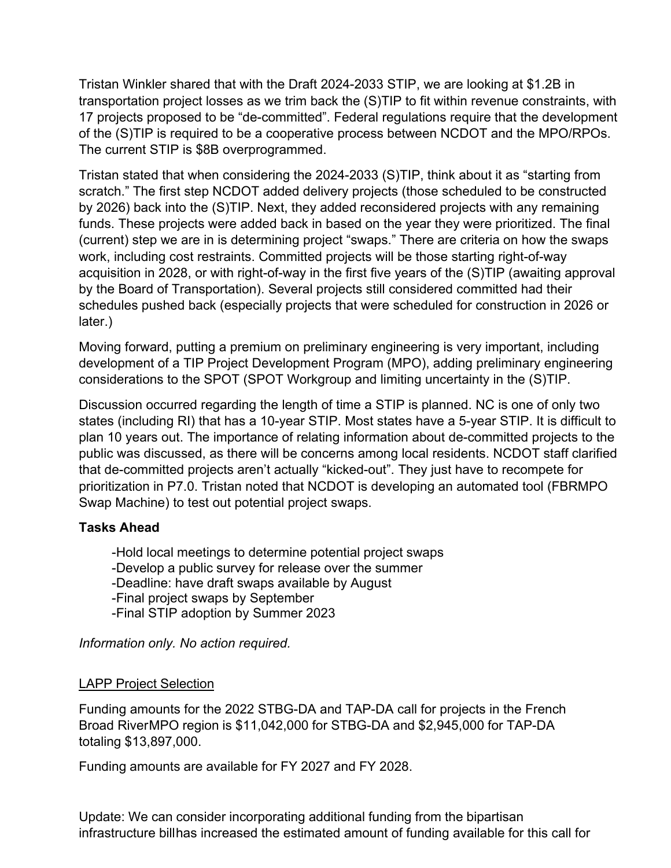Tristan Winkler shared that with the Draft 2024-2033 STIP, we are looking at \$1.2B in transportation project losses as we trim back the (S)TIP to fit within revenue constraints, with 17 projects proposed to be "de-committed". Federal regulations require that the development of the (S)TIP is required to be a cooperative process between NCDOT and the MPO/RPOs. The current STIP is \$8B overprogrammed.

Tristan stated that when considering the 2024-2033 (S)TIP, think about it as "starting from scratch." The first step NCDOT added delivery projects (those scheduled to be constructed by 2026) back into the (S)TIP. Next, they added reconsidered projects with any remaining funds. These projects were added back in based on the year they were prioritized. The final (current) step we are in is determining project "swaps." There are criteria on how the swaps work, including cost restraints. Committed projects will be those starting right-of-way acquisition in 2028, or with right-of-way in the first five years of the (S)TIP (awaiting approval by the Board of Transportation). Several projects still considered committed had their schedules pushed back (especially projects that were scheduled for construction in 2026 or later.)

Moving forward, putting a premium on preliminary engineering is very important, including development of a TIP Project Development Program (MPO), adding preliminary engineering considerations to the SPOT (SPOT Workgroup and limiting uncertainty in the (S)TIP.

Discussion occurred regarding the length of time a STIP is planned. NC is one of only two states (including RI) that has a 10-year STIP. Most states have a 5-year STIP. It is difficult to plan 10 years out. The importance of relating information about de-committed projects to the public was discussed, as there will be concerns among local residents. NCDOT staff clarified that de-committed projects aren't actually "kicked-out". They just have to recompete for prioritization in P7.0. Tristan noted that NCDOT is developing an automated tool (FBRMPO Swap Machine) to test out potential project swaps.

# **Tasks Ahead**

-Hold local meetings to determine potential project swaps -Develop a public survey for release over the summer -Deadline: have draft swaps available by August -Final project swaps by September -Final STIP adoption by Summer 2023

*Information only. No action required.*

# LAPP Project Selection

Funding amounts for the 2022 STBG-DA and TAP-DA call for projects in the French Broad RiverMPO region is \$11,042,000 for STBG-DA and \$2,945,000 for TAP-DA totaling \$13,897,000.

Funding amounts are available for FY 2027 and FY 2028.

Update: We can consider incorporating additional funding from the bipartisan infrastructure billhas increased the estimated amount of funding available for this call for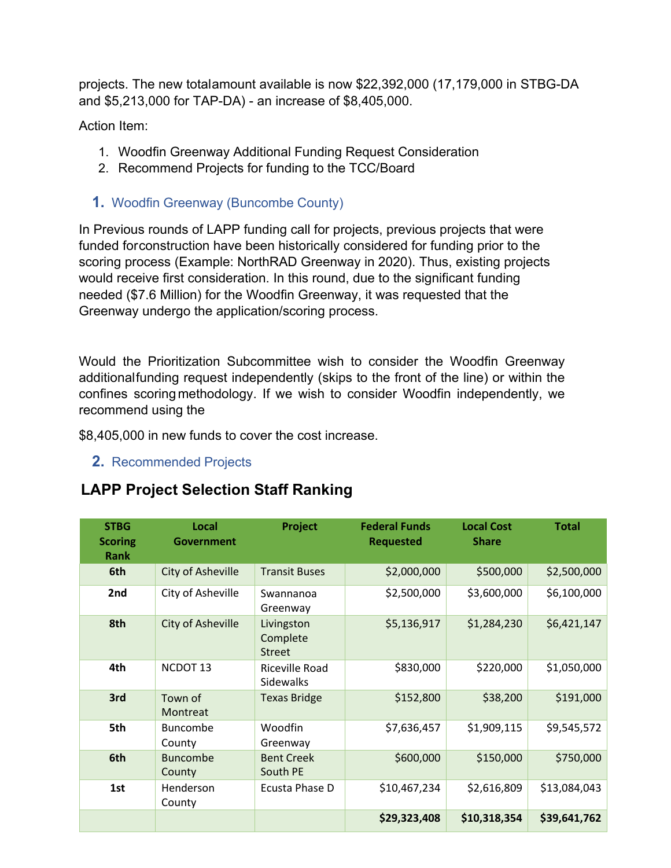projects. The new totalamount available is now \$22,392,000 (17,179,000 in STBG-DA and \$5,213,000 for TAP-DA) - an increase of \$8,405,000.

Action Item:

- 1. Woodfin Greenway Additional Funding Request Consideration
- 2. Recommend Projects for funding to the TCC/Board
- **1.** Woodfin Greenway (Buncombe County)

In Previous rounds of LAPP funding call for projects, previous projects that were funded forconstruction have been historically considered for funding prior to the scoring process (Example: NorthRAD Greenway in 2020). Thus, existing projects would receive first consideration. In this round, due to the significant funding needed (\$7.6 Million) for the Woodfin Greenway, it was requested that the Greenway undergo the application/scoring process.

Would the Prioritization Subcommittee wish to consider the Woodfin Greenway additionalfunding request independently (skips to the front of the line) or within the confines scoringmethodology. If we wish to consider Woodfin independently, we recommend using the

\$8,405,000 in new funds to cover the cost increase.

**2.** Recommended Projects

# **LAPP Project Selection Staff Ranking**

| <b>STBG</b><br><b>Scoring</b><br>Rank | Local<br><b>Government</b> | <b>Project</b>                          | <b>Federal Funds</b><br><b>Requested</b> | <b>Local Cost</b><br><b>Share</b> | <b>Total</b> |
|---------------------------------------|----------------------------|-----------------------------------------|------------------------------------------|-----------------------------------|--------------|
| 6th                                   | City of Asheville          | <b>Transit Buses</b>                    | \$2,000,000                              | \$500,000                         | \$2,500,000  |
| 2nd                                   | City of Asheville          | Swannanoa<br>Greenway                   | \$2,500,000                              | \$3,600,000                       | \$6,100,000  |
| 8th                                   | <b>City of Asheville</b>   | Livingston<br>Complete<br><b>Street</b> | \$5,136,917                              | \$1,284,230                       | \$6,421,147  |
| 4th                                   | NCDOT <sub>13</sub>        | Riceville Road<br>Sidewalks             | \$830,000                                | \$220,000                         | \$1,050,000  |
| 3rd                                   | Town of<br>Montreat        | <b>Texas Bridge</b>                     | \$152,800                                | \$38,200                          | \$191,000    |
| 5th                                   | <b>Buncombe</b><br>County  | Woodfin<br>Greenway                     | \$7,636,457                              | \$1,909,115                       | \$9,545,572  |
| 6th                                   | <b>Buncombe</b><br>County  | <b>Bent Creek</b><br>South PE           | \$600,000                                | \$150,000                         | \$750,000    |
| 1st                                   | Henderson<br>County        | Ecusta Phase D                          | \$10,467,234                             | \$2,616,809                       | \$13,084,043 |
|                                       |                            |                                         | \$29,323,408                             | \$10,318,354                      | \$39,641,762 |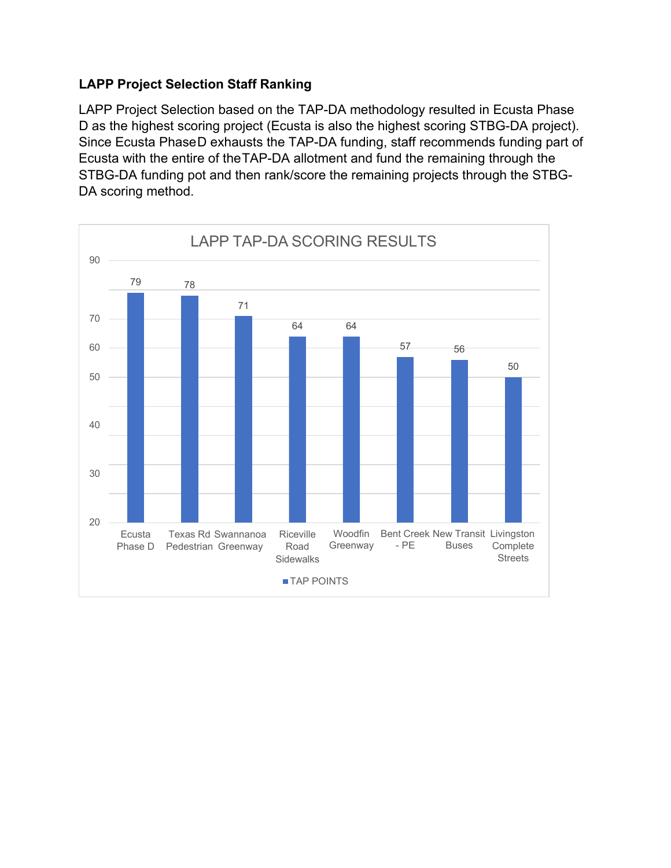# **LAPP Project Selection Staff Ranking**

LAPP Project Selection based on the TAP-DA methodology resulted in Ecusta Phase D as the highest scoring project (Ecusta is also the highest scoring STBG-DA project). Since Ecusta PhaseD exhausts the TAP-DA funding, staff recommends funding part of Ecusta with the entire of theTAP-DA allotment and fund the remaining through the STBG-DA funding pot and then rank/score the remaining projects through the STBG-DA scoring method.

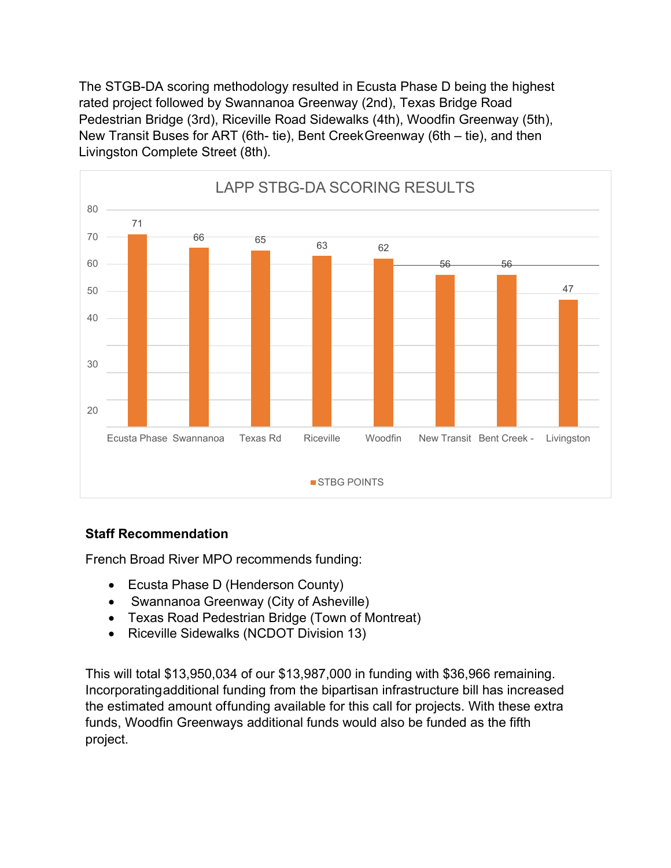The STGB-DA scoring methodology resulted in Ecusta Phase D being the highest rated project followed by Swannanoa Greenway (2nd), Texas Bridge Road Pedestrian Bridge (3rd), Riceville Road Sidewalks (4th), Woodfin Greenway (5th), New Transit Buses for ART (6th- tie), Bent CreekGreenway (6th – tie), and then Livingston Complete Street (8th).



# **Staff Recommendation**

French Broad River MPO recommends funding:

- Ecusta Phase D (Henderson County)
- Swannanoa Greenway (City of Asheville)
- Texas Road Pedestrian Bridge (Town of Montreat)
- Riceville Sidewalks (NCDOT Division 13)

This will total \$13,950,034 of our \$13,987,000 in funding with \$36,966 remaining. Incorporatingadditional funding from the bipartisan infrastructure bill has increased the estimated amount offunding available for this call for projects. With these extra funds, Woodfin Greenways additional funds would also be funded as the fifth project.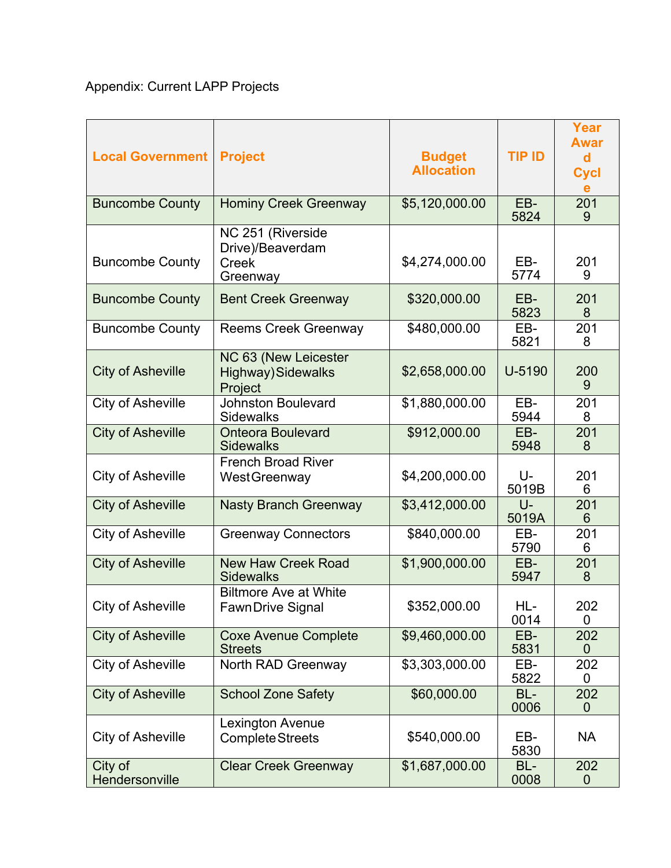# Appendix: Current LAPP Projects

| <b>Local Government</b>   | <b>Project</b>                                                    | <b>Budget</b><br><b>Allocation</b> | <b>TIP ID</b>  | Year<br><b>Awar</b><br>d<br><b>Cycl</b><br>e |
|---------------------------|-------------------------------------------------------------------|------------------------------------|----------------|----------------------------------------------|
| <b>Buncombe County</b>    | <b>Hominy Creek Greenway</b>                                      | \$5,120,000.00                     | EB-<br>5824    | 201<br>9                                     |
| <b>Buncombe County</b>    | NC 251 (Riverside<br>Drive)/Beaverdam<br><b>Creek</b><br>Greenway | \$4,274,000.00                     | EB-<br>5774    | 201<br>9                                     |
| <b>Buncombe County</b>    | <b>Bent Creek Greenway</b>                                        | \$320,000.00                       | EB-<br>5823    | 201<br>8                                     |
| <b>Buncombe County</b>    | <b>Reems Creek Greenway</b>                                       | \$480,000.00                       | EB-<br>5821    | 201<br>8                                     |
| <b>City of Asheville</b>  | NC 63 (New Leicester<br><b>Highway)</b> Sidewalks<br>Project      | \$2,658,000.00                     | U-5190         | 200<br>9                                     |
| <b>City of Asheville</b>  | <b>Johnston Boulevard</b><br><b>Sidewalks</b>                     | \$1,880,000.00                     | EB-<br>5944    | 201<br>8                                     |
| <b>City of Asheville</b>  | <b>Onteora Boulevard</b><br><b>Sidewalks</b>                      | \$912,000.00                       | EB-<br>5948    | 201<br>8                                     |
| <b>City of Asheville</b>  | <b>French Broad River</b><br><b>WestGreenway</b>                  | \$4,200,000.00                     | U-<br>5019B    | 201<br>6                                     |
| <b>City of Asheville</b>  | <b>Nasty Branch Greenway</b>                                      | \$3,412,000.00                     | $U -$<br>5019A | 201<br>6                                     |
| <b>City of Asheville</b>  | <b>Greenway Connectors</b>                                        | \$840,000.00                       | EB-<br>5790    | 201<br>6                                     |
| <b>City of Asheville</b>  | <b>New Haw Creek Road</b><br><b>Sidewalks</b>                     | \$1,900,000.00                     | EB-<br>5947    | 201<br>8                                     |
| City of Asheville         | <b>Biltmore Ave at White</b><br><b>FawnDrive Signal</b>           | \$352,000.00                       | HL-<br>0014    | 202<br>0                                     |
| <b>City of Asheville</b>  | <b>Coxe Avenue Complete</b><br><b>Streets</b>                     | \$9,460,000.00                     | EB-<br>5831    | 202<br>$\overline{0}$                        |
| <b>City of Asheville</b>  | North RAD Greenway                                                | \$3,303,000.00                     | EB-<br>5822    | 202<br>0                                     |
| <b>City of Asheville</b>  | <b>School Zone Safety</b>                                         | \$60,000.00                        | BL-<br>0006    | 202<br>$\Omega$                              |
| <b>City of Asheville</b>  | Lexington Avenue<br><b>Complete Streets</b>                       | \$540,000.00                       | EB-<br>5830    | <b>NA</b>                                    |
| City of<br>Hendersonville | <b>Clear Creek Greenway</b>                                       | \$1,687,000.00                     | BL-<br>0008    | 202<br>$\mathbf 0$                           |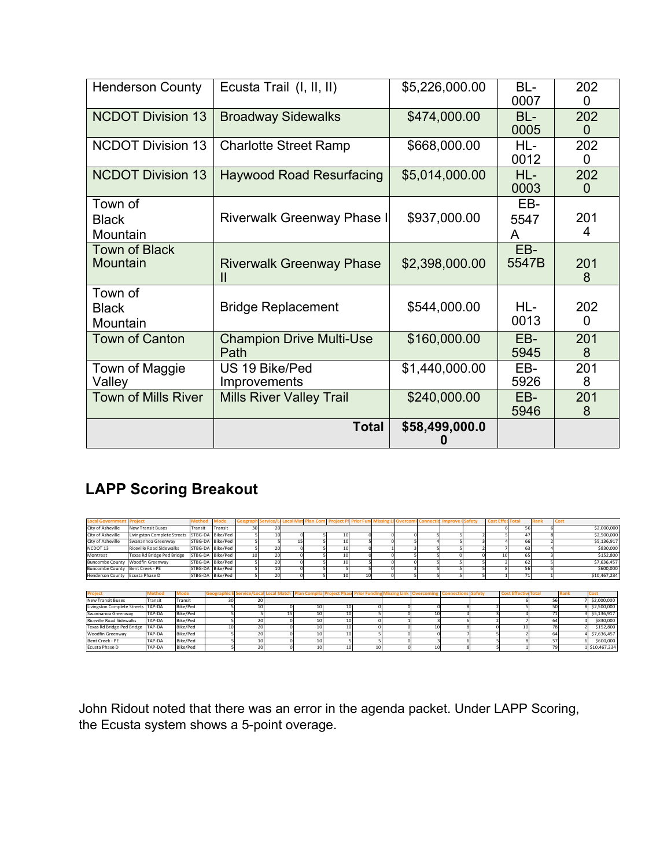| <b>Henderson County</b>             | Ecusta Trail (I, II, II)                | \$5,226,000.00 | BL-<br>0007      | 202<br>$\Omega$ |
|-------------------------------------|-----------------------------------------|----------------|------------------|-----------------|
| <b>NCDOT Division 13</b>            | <b>Broadway Sidewalks</b>               | \$474,000.00   | BL-<br>0005      | 202<br>$\Omega$ |
| <b>NCDOT Division 13</b>            | <b>Charlotte Street Ramp</b>            | \$668,000.00   | HL-<br>0012      | 202<br>$\Omega$ |
| <b>NCDOT Division 13</b>            | <b>Haywood Road Resurfacing</b>         | \$5,014,000.00 | $HL-$<br>0003    | 202<br>$\Omega$ |
| Town of<br><b>Black</b><br>Mountain | Riverwalk Greenway Phase I              | \$937,000.00   | EB-<br>5547<br>A | 201<br>4        |
| <b>Town of Black</b><br>Mountain    | <b>Riverwalk Greenway Phase</b><br>Ш    | \$2,398,000.00 | EB-<br>5547B     | 201<br>8        |
| Town of<br><b>Black</b><br>Mountain | <b>Bridge Replacement</b>               | \$544,000.00   | HL-<br>0013      | 202<br>$\Omega$ |
| <b>Town of Canton</b>               | <b>Champion Drive Multi-Use</b><br>Path | \$160,000.00   | EB-<br>5945      | 201<br>8        |
| Town of Maggie<br>Valley            | US 19 Bike/Ped<br>Improvements          | \$1,440,000.00 | EB-<br>5926      | 201<br>8        |
| <b>Town of Mills River</b>          | <b>Mills River Valley Trail</b>         | \$240,000.00   | EB-<br>5946      | 201<br>8        |
|                                     | <b>Total</b>                            | \$58,499,000.0 |                  |                 |

# **LAPP Scoring Breakout**

| <b>Local Governmen</b>             | Project         |                                    | <b>Metho</b>    |                  | ⁄lode    | Geograp-  | <b>Service</b> | cocal Iv- | <b>Plan Con</b>    | Proiecl             | <b>Prior Fund</b> | Overcon              | Connecti  | Improve           | <b>Safety</b> | <b>Cost E</b> | Tota               |             | Cost |              |
|------------------------------------|-----------------|------------------------------------|-----------------|------------------|----------|-----------|----------------|-----------|--------------------|---------------------|-------------------|----------------------|-----------|-------------------|---------------|---------------|--------------------|-------------|------|--------------|
| City of Asheville                  |                 | <b>New Transit Buses</b>           | Transit         |                  | Transit  | 30        | 20             |           |                    |                     |                   |                      |           |                   |               |               | 56                 |             |      | \$2,000,000  |
| City of Asheville                  |                 | <b>Livingston Complete Streets</b> | STBG-DA         |                  | Bike/Ped |           | 10             |           |                    | 10                  |                   |                      |           |                   |               |               | 4 <sub>1</sub>     |             |      | \$2,500,000  |
| City of Asheville                  |                 | Swanannoa Greenway                 | STBG-DA         |                  | Bike/Ped |           |                | 15        |                    |                     |                   |                      |           |                   |               |               | 66                 |             |      | \$5,136,917  |
| NCDOT <sub>13</sub>                |                 | <b>Riceville Road Sidewalks</b>    |                 | STBG-DA Bike/Ped |          |           | 20             |           |                    | 10                  |                   |                      |           |                   |               |               | 63                 |             |      | \$830,000    |
| Montreat                           |                 | Texas Rd Bridge Ped Bridge         | STBG-DA         |                  | Bike/Ped | 10        | 20             |           |                    | 10                  |                   |                      |           |                   |               | 10            | 65                 |             |      | \$152,800    |
| <b>Buncombe County</b>             |                 | Woodfin Greenway                   |                 | STBG-DA Bike/Ped |          |           | 20             |           |                    | 10                  |                   |                      |           |                   |               |               | 62                 |             |      | \$7,636,457  |
| <b>Buncombe County</b>             | Bent Creek - PE |                                    |                 | STBG-DA          | Bike/Ped |           | 10             |           |                    |                     |                   |                      |           |                   |               |               | 56                 |             |      | \$600,000    |
| <b>Henderson County</b>            | Ecusta Phase D  |                                    |                 | STBG-DA          | Bike/Ped |           | 20             |           |                    |                     |                   |                      |           |                   |               |               | 71                 |             |      | \$10,467,234 |
|                                    |                 |                                    |                 |                  |          |           |                |           |                    |                     |                   |                      |           |                   |               |               |                    |             |      |              |
|                                    |                 |                                    |                 |                  |          |           |                |           |                    |                     |                   |                      |           |                   |               |               |                    |             |      |              |
| <b>Project</b>                     |                 | Method                             | <b>Mode</b>     | Geograph         |          | Service/L |                |           | <b>Plan Compli</b> | <b>Project Pha.</b> | <b>Prior Fund</b> | <b>Missing Lin</b> l | Overcomin | <b>Connection</b> | <b>Safety</b> |               | <b>Cost Effect</b> | <b>Tota</b> |      | Cost         |
| <b>New Transit Buses</b>           |                 | Transit                            | Transit         |                  | 30       |           | 20             |           |                    |                     |                   |                      |           |                   |               |               |                    |             | 56   | \$2,000,000  |
| <b>Livingston Complete Streets</b> |                 | TAP-DA                             | <b>Bike/Ped</b> |                  |          |           | 10             |           | 10                 | 10                  |                   |                      |           |                   |               |               |                    |             | 50   | \$2,500,000  |
| Swannanoa Greenway                 |                 | TAP-DA                             | <b>Bike/Ped</b> |                  |          |           |                | 15        |                    | 10                  |                   |                      | 10        |                   |               |               |                    |             | 71   | \$5,136,917  |
| <b>Riceville Road Sidewalks</b>    |                 | TAP-DA                             | Bike/Ped        |                  |          |           | 20             |           |                    | 1(                  |                   |                      |           |                   |               |               |                    |             | 64   | \$830,000    |
| Texas Rd Bridge Ped Bridge         |                 | TAP-DA                             | <b>Bike/Ped</b> |                  |          |           | 20             |           |                    | 10                  |                   |                      | 10        |                   |               |               | 10                 |             | 78   | \$152,800    |
| <b>Woodfin Greenway</b>            |                 | TAP-DA                             | <b>Bike/Ped</b> |                  |          |           | 20             |           |                    |                     |                   |                      |           |                   |               |               |                    |             | 64   | \$7,636,457  |
| Bent Creek - PE                    |                 | TAP-DA                             | Bike/Ped        |                  |          |           | 10             |           |                    |                     |                   |                      |           |                   |               |               |                    |             | 57   | \$600,000    |

John Ridout noted that there was an error in the agenda packet. Under LAPP Scoring, the Ecusta system shows a 5-point overage.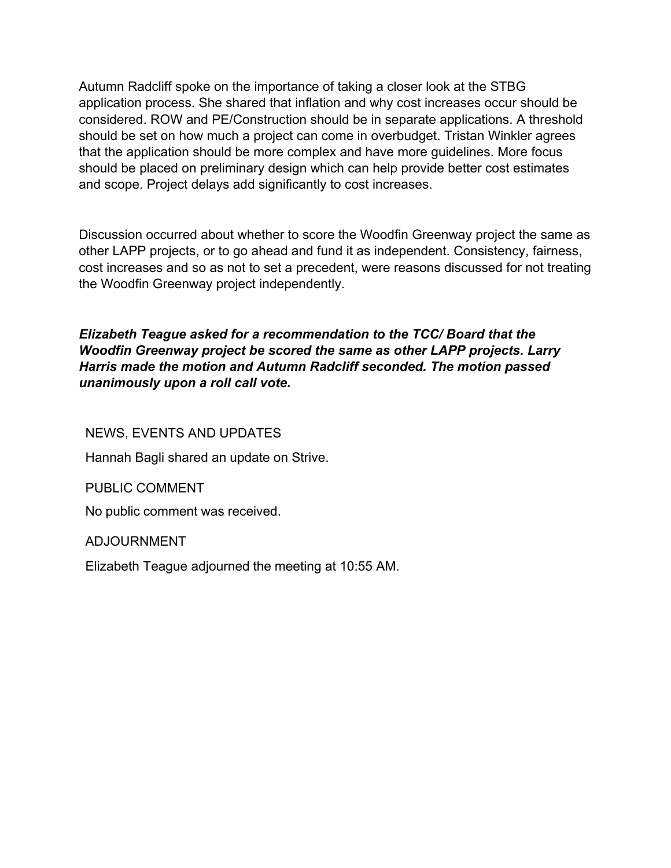Autumn Radcliff spoke on the importance of taking a closer look at the STBG application process. She shared that inflation and why cost increases occur should be considered. ROW and PE/Construction should be in separate applications. A threshold should be set on how much a project can come in overbudget. Tristan Winkler agrees that the application should be more complex and have more guidelines. More focus should be placed on preliminary design which can help provide better cost estimates and scope. Project delays add significantly to cost increases.

Discussion occurred about whether to score the Woodfin Greenway project the same as other LAPP projects, or to go ahead and fund it as independent. Consistency, fairness, cost increases and so as not to set a precedent, were reasons discussed for not treating the Woodfin Greenway project independently.

*Elizabeth Teague asked for a recommendation to the TCC/ Board that the Woodfin Greenway project be scored the same as other LAPP projects. Larry Harris made the motion and Autumn Radcliff seconded. The motion passed unanimously upon a roll call vote.*

NEWS, EVENTS AND UPDATES

Hannah Bagli shared an update on Strive.

PUBLIC COMMENT

No public comment was received.

ADJOURNMENT

Elizabeth Teague adjourned the meeting at 10:55 AM.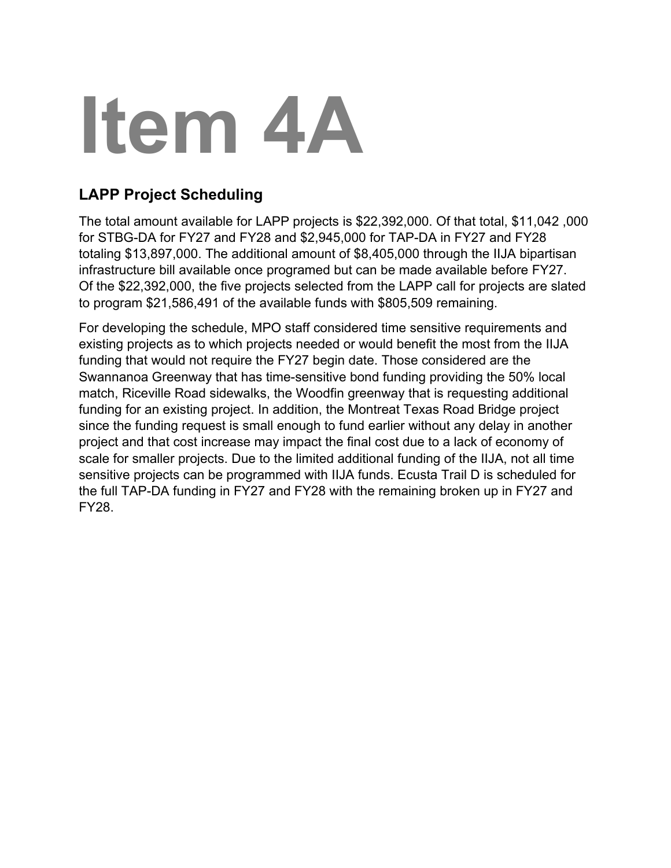# **Item 4A**

# **LAPP Project Scheduling**

The total amount available for LAPP projects is \$22,392,000. Of that total, \$11,042 ,000 for STBG-DA for FY27 and FY28 and \$2,945,000 for TAP-DA in FY27 and FY28 totaling \$13,897,000. The additional amount of \$8,405,000 through the IIJA bipartisan infrastructure bill available once programed but can be made available before FY27. Of the \$22,392,000, the five projects selected from the LAPP call for projects are slated to program \$21,586,491 of the available funds with \$805,509 remaining.

For developing the schedule, MPO staff considered time sensitive requirements and existing projects as to which projects needed or would benefit the most from the IIJA funding that would not require the FY27 begin date. Those considered are the Swannanoa Greenway that has time-sensitive bond funding providing the 50% local match, Riceville Road sidewalks, the Woodfin greenway that is requesting additional funding for an existing project. In addition, the Montreat Texas Road Bridge project since the funding request is small enough to fund earlier without any delay in another project and that cost increase may impact the final cost due to a lack of economy of scale for smaller projects. Due to the limited additional funding of the IIJA, not all time sensitive projects can be programmed with IIJA funds. Ecusta Trail D is scheduled for the full TAP-DA funding in FY27 and FY28 with the remaining broken up in FY27 and FY28.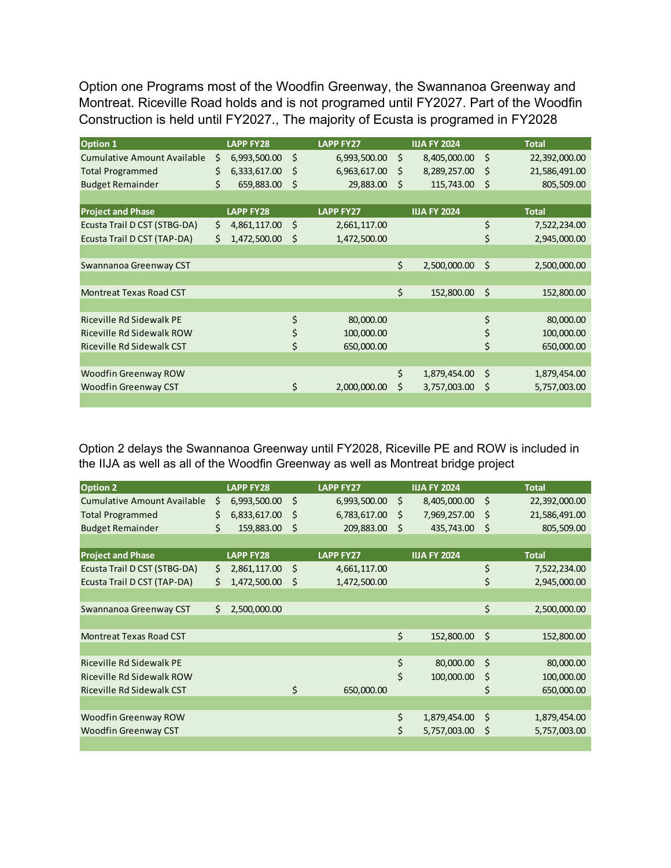Option one Programs most of the Woodfin Greenway, the Swannanoa Greenway and Montreat. Riceville Road holds and is not programed until FY2027. Part of the Woodfin Construction is held until FY2027., The majority of Ecusta is programed in FY2028

| <b>Option 1</b>                    | <b>LAPP FY28</b>   |    | <b>LAPP FY27</b> |     | <b>IIJA FY 2024</b> |     | <b>Total</b>  |
|------------------------------------|--------------------|----|------------------|-----|---------------------|-----|---------------|
| <b>Cumulative Amount Available</b> | \$<br>6,993,500.00 | Ś  | 6,993,500.00     | \$  | 8,405,000.00        | \$  | 22,392,000.00 |
| <b>Total Programmed</b>            | \$<br>6,333,617.00 | \$ | 6,963,617.00     | Ŝ   | 8,289,257.00        | S   | 21,586,491.00 |
| <b>Budget Remainder</b>            | \$<br>659,883.00   | \$ | 29,883.00        | -\$ | 115,743.00          | .\$ | 805,509.00    |
|                                    |                    |    |                  |     |                     |     |               |
| <b>Project and Phase</b>           | <b>LAPP FY28</b>   |    | <b>LAPP FY27</b> |     | <b>IIJA FY 2024</b> |     | <b>Total</b>  |
| Ecusta Trail D CST (STBG-DA)       | \$<br>4,861,117.00 | \$ | 2,661,117.00     |     |                     | \$  | 7,522,234.00  |
| Ecusta Trail D CST (TAP-DA)        | \$<br>1,472,500.00 | \$ | 1,472,500.00     |     |                     | \$  | 2,945,000.00  |
|                                    |                    |    |                  |     |                     |     |               |
| Swannanoa Greenway CST             |                    |    |                  | \$  | 2,500,000.00        | Ś   | 2,500,000.00  |
|                                    |                    |    |                  |     |                     |     |               |
| <b>Montreat Texas Road CST</b>     |                    |    |                  | \$  | 152,800.00          | Ŝ.  | 152,800.00    |
|                                    |                    |    |                  |     |                     |     |               |
| <b>Riceville Rd Sidewalk PE</b>    |                    | \$ | 80,000.00        |     |                     | \$  | 80,000.00     |
| Riceville Rd Sidewalk ROW          |                    | \$ | 100,000.00       |     |                     | \$  | 100,000.00    |
| Riceville Rd Sidewalk CST          |                    | \$ | 650,000.00       |     |                     | \$  | 650,000.00    |
|                                    |                    |    |                  |     |                     |     |               |
| <b>Woodfin Greenway ROW</b>        |                    |    |                  | \$  | 1,879,454.00        | Ŝ.  | 1,879,454.00  |
| <b>Woodfin Greenway CST</b>        |                    | \$ | 2,000,000.00     | Ś   | 3,757,003.00        | Ś   | 5,757,003.00  |
|                                    |                    |    |                  |     |                     |     |               |

Option 2 delays the Swannanoa Greenway until FY2028, Riceville PE and ROW is included in the IIJA as well as all of the Woodfin Greenway as well as Montreat bridge project

| <b>Option 2</b>                    | <b>LAPP FY28</b>   |    | <b>LAPP FY27</b> | <b>IIJA FY 2024</b> |    | <b>Total</b>  |
|------------------------------------|--------------------|----|------------------|---------------------|----|---------------|
| <b>Cumulative Amount Available</b> | \$<br>6,993,500.00 | \$ | 6,993,500.00     | \$<br>8,405,000.00  | \$ | 22,392,000.00 |
| <b>Total Programmed</b>            | \$<br>6,833,617.00 | Ŝ  | 6,783,617.00     | \$<br>7,969,257.00  | Ŝ  | 21,586,491.00 |
| <b>Budget Remainder</b>            | \$<br>159,883.00   | \$ | 209,883.00       | \$<br>435,743.00    | \$ | 805,509.00    |
|                                    |                    |    |                  |                     |    |               |
| <b>Project and Phase</b>           | <b>LAPP FY28</b>   |    | <b>LAPP FY27</b> | <b>IIJA FY 2024</b> |    | <b>Total</b>  |
| Ecusta Trail D CST (STBG-DA)       | \$<br>2,861,117.00 | Ŝ. | 4,661,117.00     |                     | \$ | 7,522,234.00  |
| Ecusta Trail D CST (TAP-DA)        | \$<br>1,472,500.00 | Ŝ  | 1,472,500.00     |                     | \$ | 2,945,000.00  |
|                                    |                    |    |                  |                     |    |               |
| Swannanoa Greenway CST             | \$<br>2,500,000.00 |    |                  |                     | \$ | 2,500,000.00  |
|                                    |                    |    |                  |                     |    |               |
| <b>Montreat Texas Road CST</b>     |                    |    |                  | \$<br>152,800.00    | Ŝ. | 152,800.00    |
|                                    |                    |    |                  |                     |    |               |
| Riceville Rd Sidewalk PE           |                    |    |                  | \$<br>80,000.00     | Ŝ. | 80,000.00     |
| Riceville Rd Sidewalk ROW          |                    |    |                  | \$<br>100,000.00    | \$ | 100,000.00    |
| Riceville Rd Sidewalk CST          |                    | \$ | 650,000.00       |                     | \$ | 650,000.00    |
|                                    |                    |    |                  |                     |    |               |
| <b>Woodfin Greenway ROW</b>        |                    |    |                  | \$<br>1,879,454.00  | Ŝ. | 1,879,454.00  |
| <b>Woodfin Greenway CST</b>        |                    |    |                  | \$<br>5,757,003.00  | \$ | 5,757,003.00  |
|                                    |                    |    |                  |                     |    |               |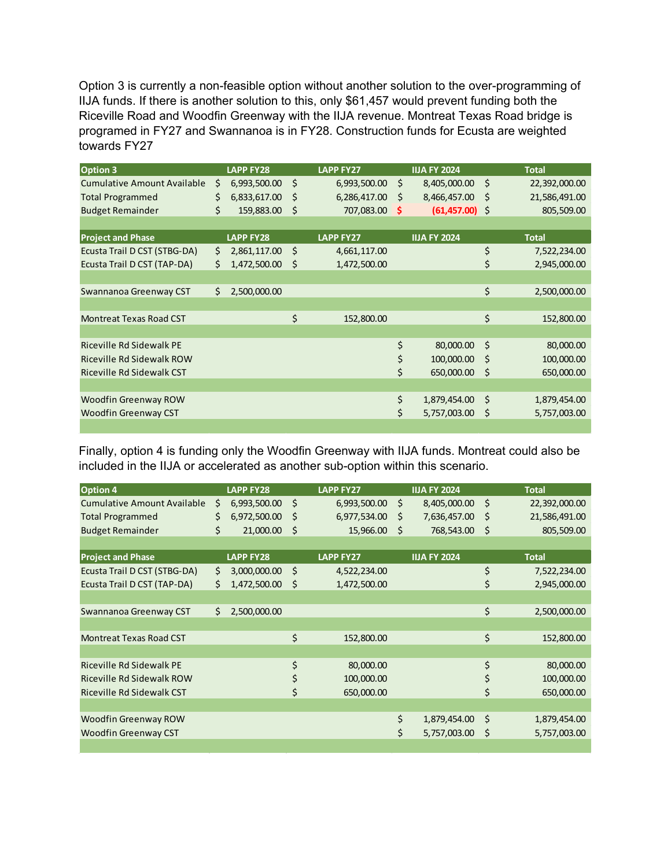Option 3 is currently a non-feasible option without another solution to the over-programming of IIJA funds. If there is another solution to this, only \$61,457 would prevent funding both the Riceville Road and Woodfin Greenway with the IIJA revenue. Montreat Texas Road bridge is programed in FY27 and Swannanoa is in FY28. Construction funds for Ecusta are weighted towards FY27

| <b>Option 3</b>                 |    | <b>LAPP FY28</b> |    | <b>LAPP FY27</b> |    | <b>IIJA FY 2024</b> |    | <b>Total</b>  |
|---------------------------------|----|------------------|----|------------------|----|---------------------|----|---------------|
| Cumulative Amount Available     | \$ | 6,993,500.00     | \$ | 6,993,500.00     | \$ | 8,405,000.00        | \$ | 22,392,000.00 |
| <b>Total Programmed</b>         | \$ | 6,833,617.00     | \$ | 6,286,417.00     | -Ŝ | 8,466,457.00        | Ŝ  | 21,586,491.00 |
| <b>Budget Remainder</b>         | \$ | 159,883.00       | \$ | 707,083.00       | -S | $(61, 457.00)$ \$   |    | 805,509.00    |
|                                 |    |                  |    |                  |    |                     |    |               |
| <b>Project and Phase</b>        |    | <b>LAPP FY28</b> |    | <b>LAPP FY27</b> |    | <b>IIJA FY 2024</b> |    | <b>Total</b>  |
| Ecusta Trail D CST (STBG-DA)    | \$ | 2,861,117.00     | Š. | 4,661,117.00     |    |                     | \$ | 7,522,234.00  |
| Ecusta Trail D CST (TAP-DA)     | Ś. | 1,472,500.00     | \$ | 1,472,500.00     |    |                     | \$ | 2,945,000.00  |
|                                 |    |                  |    |                  |    |                     |    |               |
| Swannanoa Greenway CST          | Ś. | 2,500,000.00     |    |                  |    |                     | \$ | 2,500,000.00  |
|                                 |    |                  |    |                  |    |                     |    |               |
| <b>Montreat Texas Road CST</b>  |    |                  | \$ | 152,800.00       |    |                     | \$ | 152,800.00    |
|                                 |    |                  |    |                  |    |                     |    |               |
| <b>Riceville Rd Sidewalk PE</b> |    |                  |    |                  | \$ | 80,000.00           | Ŝ. | 80,000.00     |
| Riceville Rd Sidewalk ROW       |    |                  |    |                  | \$ | 100,000.00          | Ŝ  | 100,000.00    |
| Riceville Rd Sidewalk CST       |    |                  |    |                  | \$ | 650,000.00          | \$ | 650,000.00    |
|                                 |    |                  |    |                  |    |                     |    |               |
| <b>Woodfin Greenway ROW</b>     |    |                  |    |                  | \$ | 1,879,454.00        | Ŝ. | 1,879,454.00  |
| <b>Woodfin Greenway CST</b>     |    |                  |    |                  | \$ | 5,757,003.00        | Ś  | 5,757,003.00  |
|                                 |    |                  |    |                  |    |                     |    |               |

Finally, option 4 is funding only the Woodfin Greenway with IIJA funds. Montreat could also be included in the IIJA or accelerated as another sub-option within this scenario.

| <b>Option 4</b>                    | <b>LAPP FY28</b>   | <b>LAPP FY27</b>   |     | <b>IIJA FY 2024</b> | <b>Total</b>        |
|------------------------------------|--------------------|--------------------|-----|---------------------|---------------------|
| <b>Cumulative Amount Available</b> | \$<br>6,993,500.00 | \$<br>6,993,500.00 | S.  | 8,405,000.00        | \$<br>22,392,000.00 |
| <b>Total Programmed</b>            | \$<br>6,972,500.00 | \$<br>6,977,534.00 | \$. | 7,636,457.00        | \$<br>21,586,491.00 |
| <b>Budget Remainder</b>            | \$<br>21,000.00    | \$<br>15,966.00    | \$  | 768,543.00          | \$<br>805,509.00    |
|                                    |                    |                    |     |                     |                     |
| <b>Project and Phase</b>           | <b>LAPP FY28</b>   | <b>LAPP FY27</b>   |     | <b>IIJA FY 2024</b> | <b>Total</b>        |
| Ecusta Trail D CST (STBG-DA)       | \$<br>3,000,000.00 | \$<br>4,522,234.00 |     |                     | \$<br>7,522,234.00  |
| Ecusta Trail D CST (TAP-DA)        | \$<br>1,472,500.00 | \$<br>1,472,500.00 |     |                     | \$<br>2,945,000.00  |
|                                    |                    |                    |     |                     |                     |
| Swannanoa Greenway CST             | \$<br>2,500,000.00 |                    |     |                     | \$<br>2,500,000.00  |
|                                    |                    |                    |     |                     |                     |
| <b>Montreat Texas Road CST</b>     |                    | \$<br>152,800.00   |     |                     | \$<br>152,800.00    |
|                                    |                    |                    |     |                     |                     |
| Riceville Rd Sidewalk PE           |                    | \$<br>80,000.00    |     |                     | \$<br>80,000.00     |
| Riceville Rd Sidewalk ROW          |                    | \$<br>100,000.00   |     |                     | \$<br>100,000.00    |
| <b>Riceville Rd Sidewalk CST</b>   |                    | \$<br>650,000.00   |     |                     | \$<br>650,000.00    |
|                                    |                    |                    |     |                     |                     |
| Woodfin Greenway ROW               |                    |                    | \$  | 1,879,454.00        | \$<br>1,879,454.00  |
| <b>Woodfin Greenway CST</b>        |                    |                    | \$  | 5,757,003.00        | \$<br>5,757,003.00  |
|                                    |                    |                    |     |                     |                     |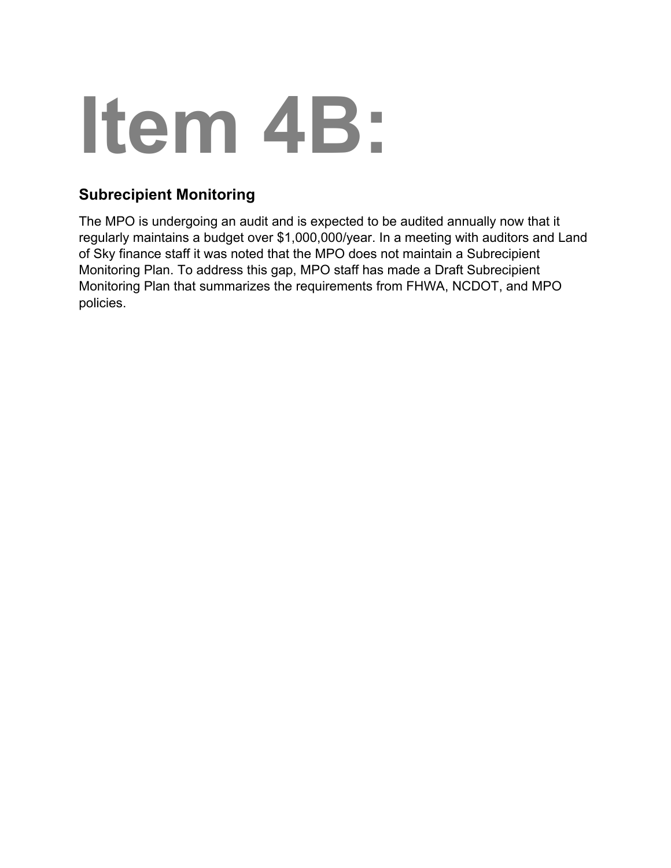# **Item 4B:**

# **Subrecipient Monitoring**

The MPO is undergoing an audit and is expected to be audited annually now that it regularly maintains a budget over \$1,000,000/year. In a meeting with auditors and Land of Sky finance staff it was noted that the MPO does not maintain a Subrecipient Monitoring Plan. To address this gap, MPO staff has made a Draft Subrecipient Monitoring Plan that summarizes the requirements from FHWA, NCDOT, and MPO policies.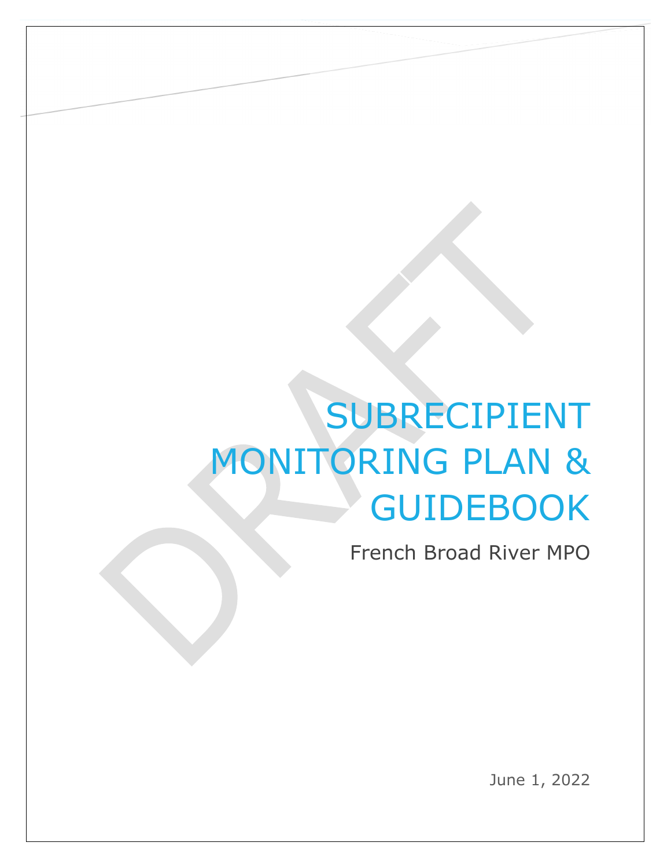# SUBRECIPIENT MONITORING PLAN & **GUIDEBOOK**

French Broad River MPO

June 1, 2022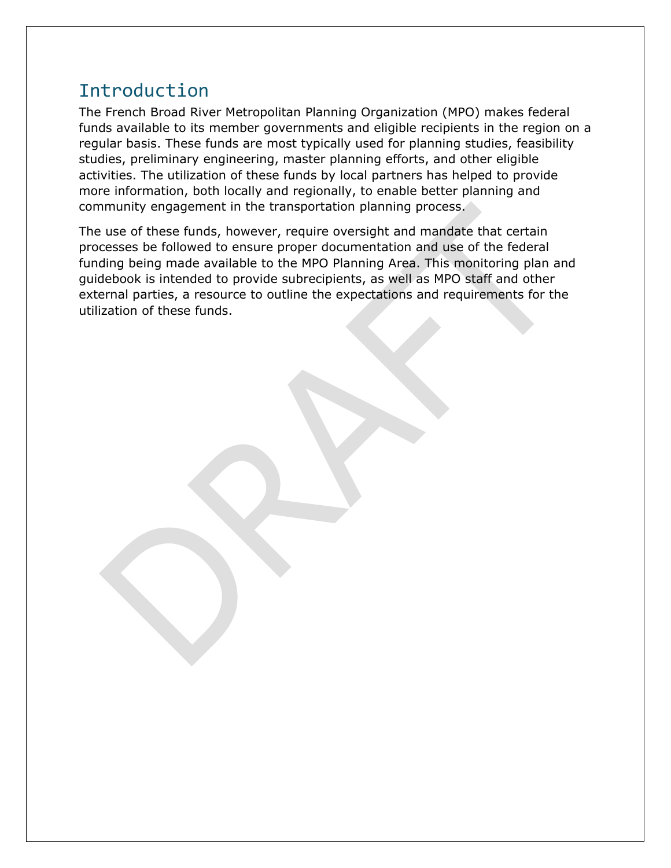# Introduction

The French Broad River Metropolitan Planning Organization (MPO) makes federal funds available to its member governments and eligible recipients in the region on a regular basis. These funds are most typically used for planning studies, feasibility studies, preliminary engineering, master planning efforts, and other eligible activities. The utilization of these funds by local partners has helped to provide more information, both locally and regionally, to enable better planning and community engagement in the transportation planning process.

The use of these funds, however, require oversight and mandate that certain processes be followed to ensure proper documentation and use of the federal funding being made available to the MPO Planning Area. This monitoring plan and guidebook is intended to provide subrecipients, as well as MPO staff and other external parties, a resource to outline the expectations and requirements for the utilization of these funds.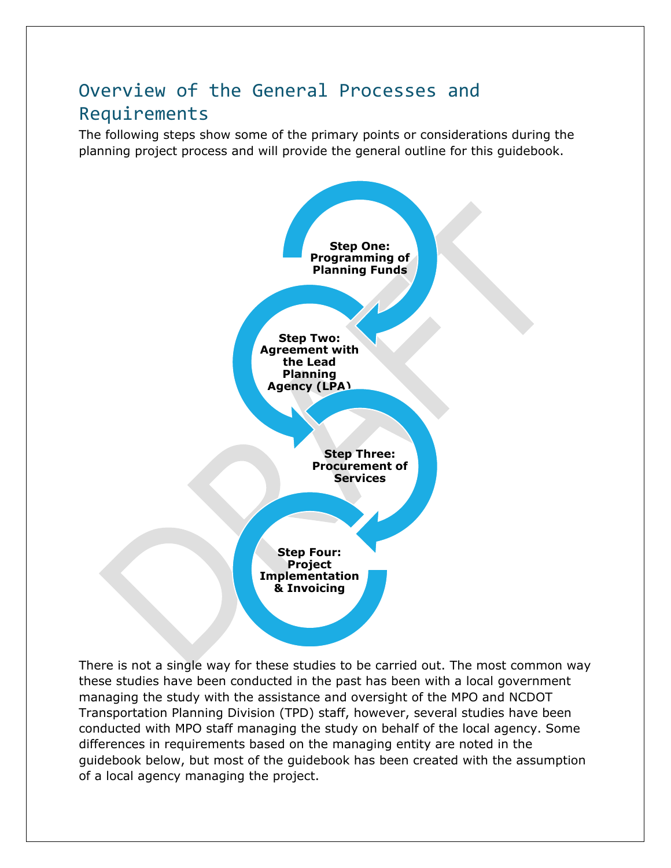# Overview of the General Processes and Requirements

The following steps show some of the primary points or considerations during the planning project process and will provide the general outline for this guidebook.



There is not a single way for these studies to be carried out. The most common way these studies have been conducted in the past has been with a local government managing the study with the assistance and oversight of the MPO and NCDOT Transportation Planning Division (TPD) staff, however, several studies have been conducted with MPO staff managing the study on behalf of the local agency. Some differences in requirements based on the managing entity are noted in the guidebook below, but most of the guidebook has been created with the assumption of a local agency managing the project.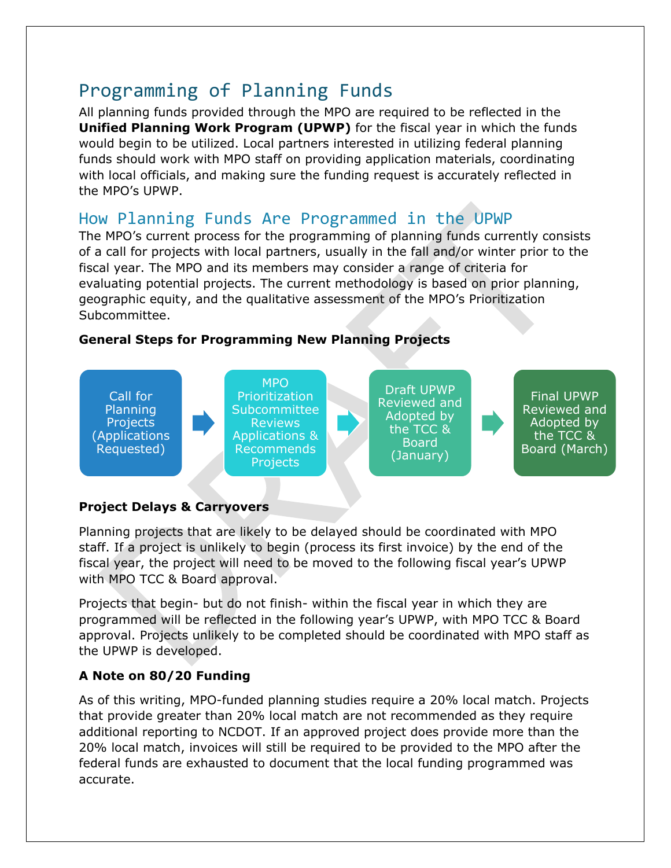# Programming of Planning Funds

All planning funds provided through the MPO are required to be reflected in the **Unified Planning Work Program (UPWP)** for the fiscal year in which the funds would begin to be utilized. Local partners interested in utilizing federal planning funds should work with MPO staff on providing application materials, coordinating with local officials, and making sure the funding request is accurately reflected in the MPO's UPWP.

# How Planning Funds Are Programmed in the UPWP

The MPO's current process for the programming of planning funds currently consists of a call for projects with local partners, usually in the fall and/or winter prior to the fiscal year. The MPO and its members may consider a range of criteria for evaluating potential projects. The current methodology is based on prior planning, geographic equity, and the qualitative assessment of the MPO's Prioritization Subcommittee.

# **General Steps for Programming New Planning Projects**



# **Project Delays & Carryovers**

Planning projects that are likely to be delayed should be coordinated with MPO staff. If a project is unlikely to begin (process its first invoice) by the end of the fiscal year, the project will need to be moved to the following fiscal year's UPWP with MPO TCC & Board approval.

Projects that begin- but do not finish- within the fiscal year in which they are programmed will be reflected in the following year's UPWP, with MPO TCC & Board approval. Projects unlikely to be completed should be coordinated with MPO staff as the UPWP is developed.

# **A Note on 80/20 Funding**

As of this writing, MPO-funded planning studies require a 20% local match. Projects that provide greater than 20% local match are not recommended as they require additional reporting to NCDOT. If an approved project does provide more than the 20% local match, invoices will still be required to be provided to the MPO after the federal funds are exhausted to document that the local funding programmed was accurate.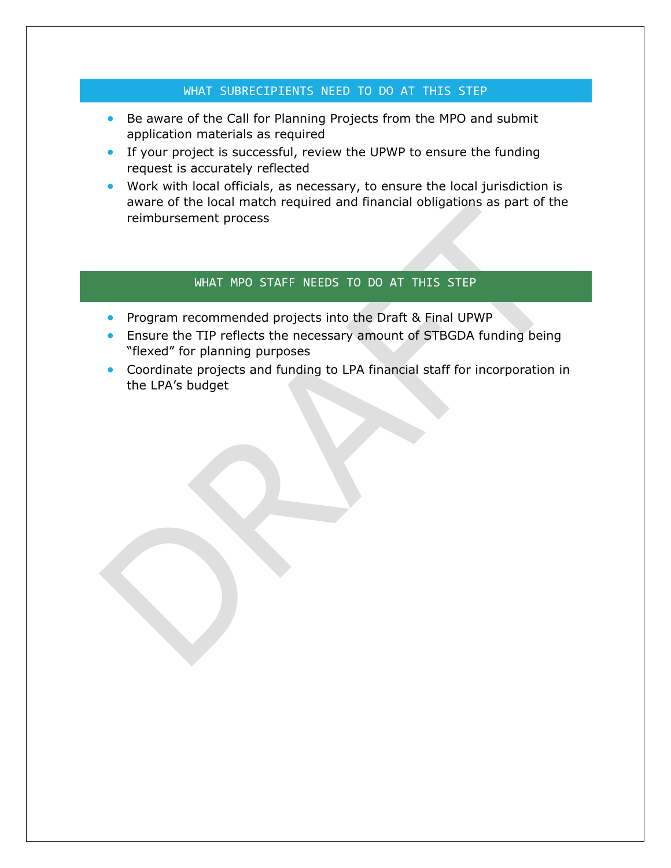## WHAT SUBRECIPIENTS NEED TO DO AT THIS STEP

- Be aware of the Call for Planning Projects from the MPO and submit application materials as required
- If your project is successful, review the UPWP to ensure the funding request is accurately reflected
- Work with local officials, as necessary, to ensure the local jurisdiction is aware of the local match required and financial obligations as part of the reimbursement process

## WHAT MPO STAFF NEEDS TO DO AT THIS STEP

- Program recommended projects into the Draft & Final UPWP
- Ensure the TIP reflects the necessary amount of STBGDA funding being "flexed" for planning purposes
- Coordinate projects and funding to LPA financial staff for incorporation in the LPA's budget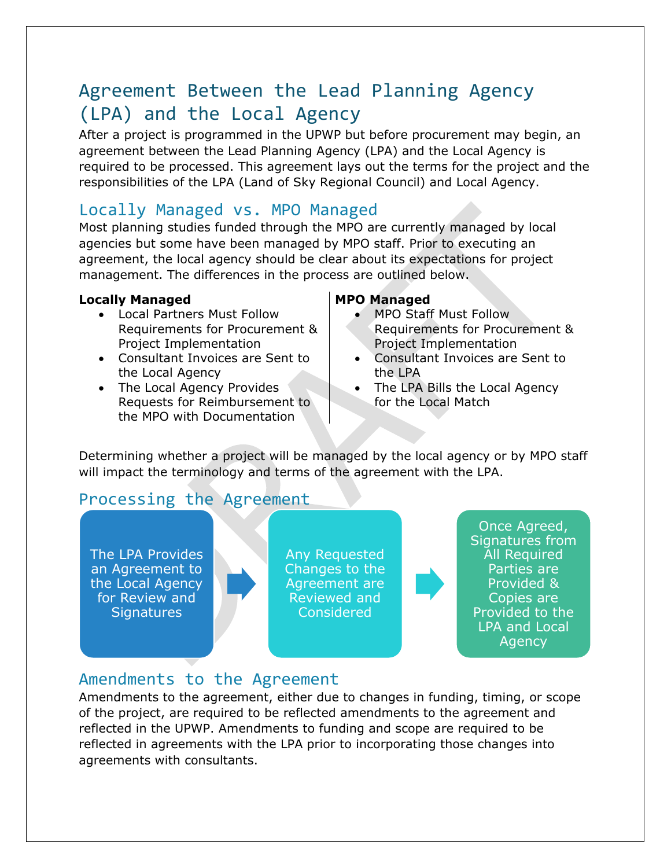# Agreement Between the Lead Planning Agency (LPA) and the Local Agency

After a project is programmed in the UPWP but before procurement may begin, an agreement between the Lead Planning Agency (LPA) and the Local Agency is required to be processed. This agreement lays out the terms for the project and the responsibilities of the LPA (Land of Sky Regional Council) and Local Agency.

# Locally Managed vs. MPO Managed

Most planning studies funded through the MPO are currently managed by local agencies but some have been managed by MPO staff. Prior to executing an agreement, the local agency should be clear about its expectations for project management. The differences in the process are outlined below.

# **Locally Managed MPO Managed**

- Local Partners Must Follow Requirements for Procurement & Project Implementation
- Consultant Invoices are Sent to the Local Agency
- The Local Agency Provides Requests for Reimbursement to the MPO with Documentation

- MPO Staff Must Follow Requirements for Procurement & Project Implementation
- Consultant Invoices are Sent to the LPA
- The LPA Bills the Local Agency for the Local Match

Determining whether a project will be managed by the local agency or by MPO staff will impact the terminology and terms of the agreement with the LPA.

# Processing the Agreement

The LPA Provides an Agreement to the Local Agency for Review and **Signatures** 

Any Requested Changes to the Agreement are Reviewed and Considered

Once Agreed, Signatures from All Required Parties are Provided & Copies are Provided to the LPA and Local **Agency** 

# Amendments to the Agreement

Amendments to the agreement, either due to changes in funding, timing, or scope of the project, are required to be reflected amendments to the agreement and reflected in the UPWP. Amendments to funding and scope are required to be reflected in agreements with the LPA prior to incorporating those changes into agreements with consultants.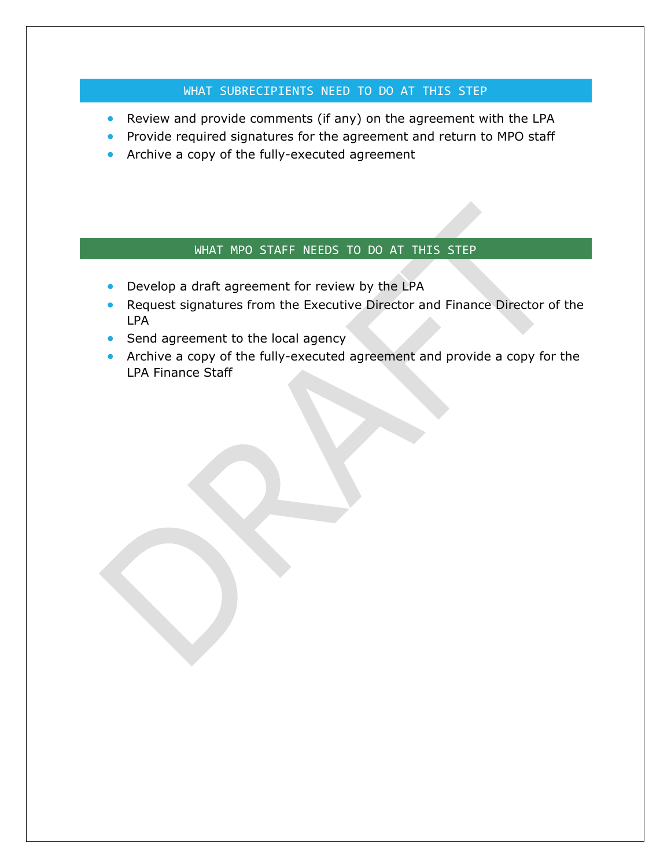# WHAT SUBRECIPIENTS NEED TO DO AT THIS STEP

- Review and provide comments (if any) on the agreement with the LPA
- Provide required signatures for the agreement and return to MPO staff
- Archive a copy of the fully-executed agreement

### WHAT MPO STAFF NEEDS TO DO AT THIS STEP

- Develop a draft agreement for review by the LPA
- Request signatures from the Executive Director and Finance Director of the LPA
- Send agreement to the local agency
- Archive a copy of the fully-executed agreement and provide a copy for the LPA Finance Staff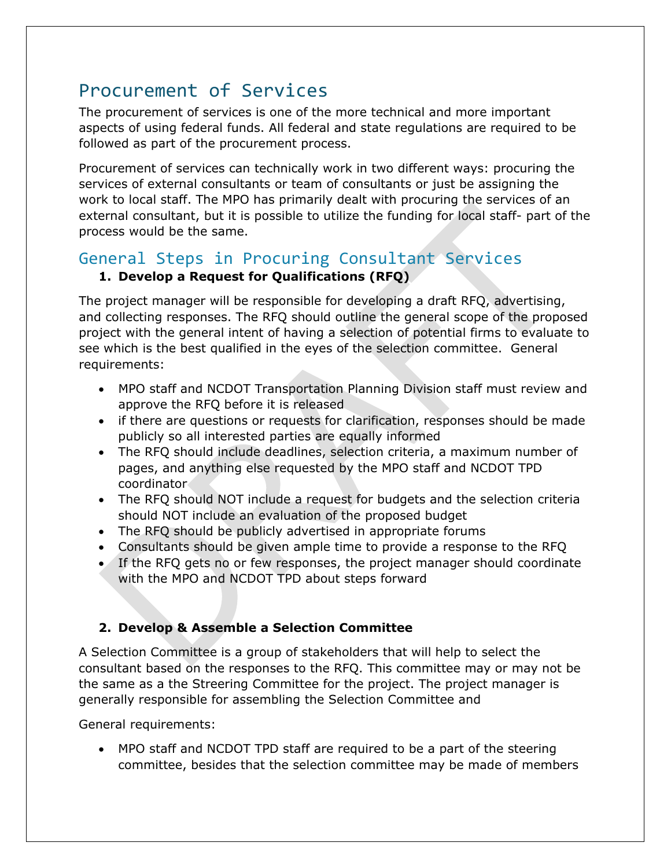# Procurement of Services

The procurement of services is one of the more technical and more important aspects of using federal funds. All federal and state regulations are required to be followed as part of the procurement process.

Procurement of services can technically work in two different ways: procuring the services of external consultants or team of consultants or just be assigning the work to local staff. The MPO has primarily dealt with procuring the services of an external consultant, but it is possible to utilize the funding for local staff- part of the process would be the same.

# General Steps in Procuring Consultant Services

# **1. Develop a Request for Qualifications (RFQ)**

The project manager will be responsible for developing a draft RFQ, advertising, and collecting responses. The RFQ should outline the general scope of the proposed project with the general intent of having a selection of potential firms to evaluate to see which is the best qualified in the eyes of the selection committee. General requirements:

- MPO staff and NCDOT Transportation Planning Division staff must review and approve the RFQ before it is released
- if there are questions or requests for clarification, responses should be made publicly so all interested parties are equally informed
- The RFQ should include deadlines, selection criteria, a maximum number of pages, and anything else requested by the MPO staff and NCDOT TPD coordinator
- The RFQ should NOT include a request for budgets and the selection criteria should NOT include an evaluation of the proposed budget
- The RFQ should be publicly advertised in appropriate forums
- Consultants should be given ample time to provide a response to the RFQ
- If the RFQ gets no or few responses, the project manager should coordinate with the MPO and NCDOT TPD about steps forward

# **2. Develop & Assemble a Selection Committee**

A Selection Committee is a group of stakeholders that will help to select the consultant based on the responses to the RFQ. This committee may or may not be the same as a the Streering Committee for the project. The project manager is generally responsible for assembling the Selection Committee and

General requirements:

• MPO staff and NCDOT TPD staff are required to be a part of the steering committee, besides that the selection committee may be made of members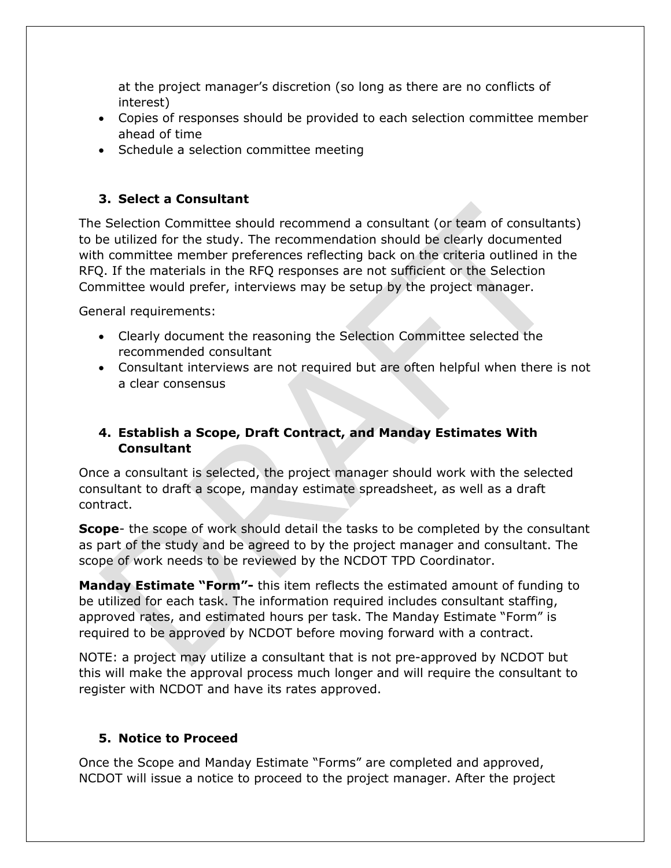at the project manager's discretion (so long as there are no conflicts of interest)

- Copies of responses should be provided to each selection committee member ahead of time
- Schedule a selection committee meeting

# **3. Select a Consultant**

The Selection Committee should recommend a consultant (or team of consultants) to be utilized for the study. The recommendation should be clearly documented with committee member preferences reflecting back on the criteria outlined in the RFQ. If the materials in the RFQ responses are not sufficient or the Selection Committee would prefer, interviews may be setup by the project manager.

General requirements:

- Clearly document the reasoning the Selection Committee selected the recommended consultant
- Consultant interviews are not required but are often helpful when there is not a clear consensus

# **4. Establish a Scope, Draft Contract, and Manday Estimates With Consultant**

Once a consultant is selected, the project manager should work with the selected consultant to draft a scope, manday estimate spreadsheet, as well as a draft contract.

**Scope**- the scope of work should detail the tasks to be completed by the consultant as part of the study and be agreed to by the project manager and consultant. The scope of work needs to be reviewed by the NCDOT TPD Coordinator.

**Manday Estimate "Form"-** this item reflects the estimated amount of funding to be utilized for each task. The information required includes consultant staffing, approved rates, and estimated hours per task. The Manday Estimate "Form" is required to be approved by NCDOT before moving forward with a contract.

NOTE: a project may utilize a consultant that is not pre-approved by NCDOT but this will make the approval process much longer and will require the consultant to register with NCDOT and have its rates approved.

# **5. Notice to Proceed**

Once the Scope and Manday Estimate "Forms" are completed and approved, NCDOT will issue a notice to proceed to the project manager. After the project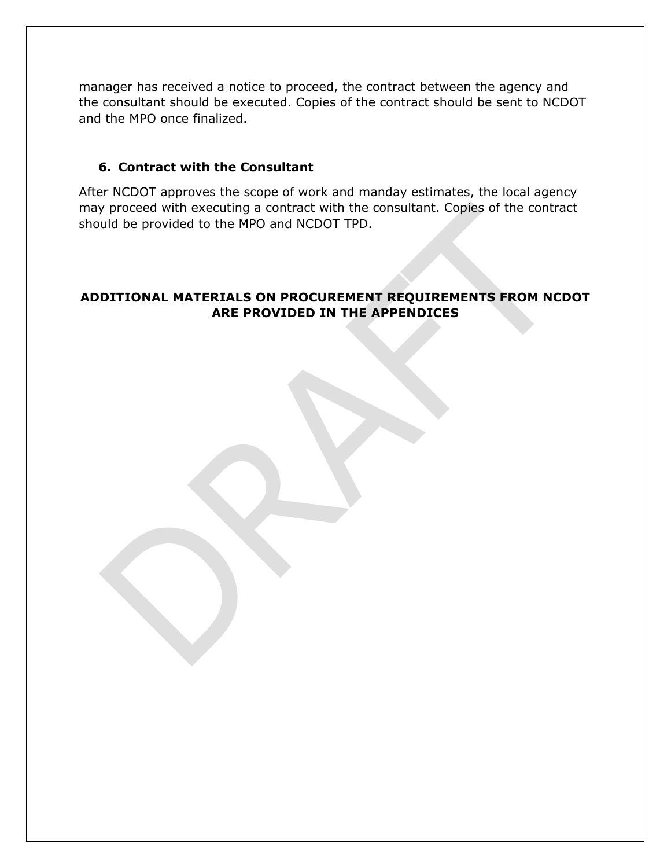manager has received a notice to proceed, the contract between the agency and the consultant should be executed. Copies of the contract should be sent to NCDOT and the MPO once finalized.

### **6. Contract with the Consultant**

After NCDOT approves the scope of work and manday estimates, the local agency may proceed with executing a contract with the consultant. Copies of the contract should be provided to the MPO and NCDOT TPD.

# **ADDITIONAL MATERIALS ON PROCUREMENT REQUIREMENTS FROM NCDOT ARE PROVIDED IN THE APPENDICES**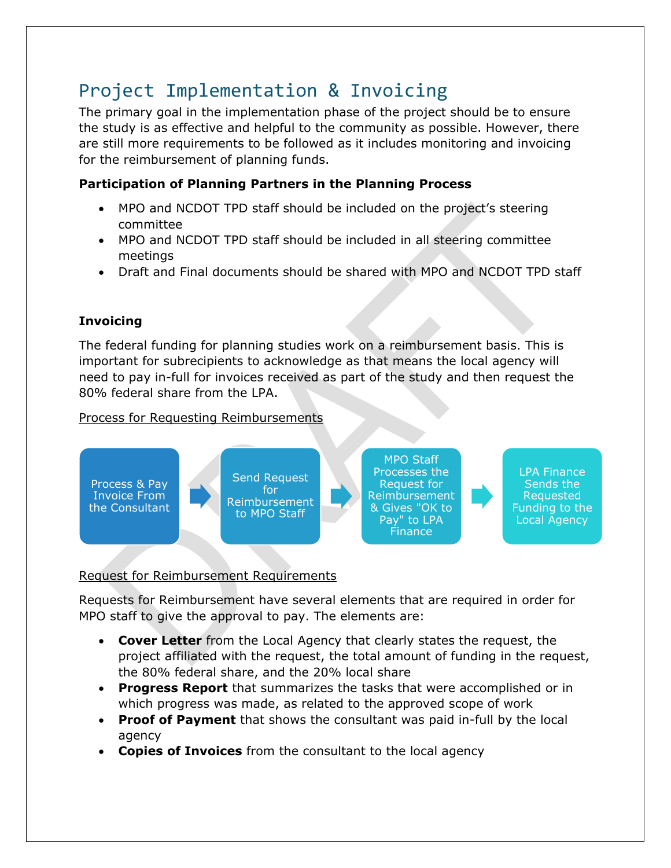# Project Implementation & Invoicing

The primary goal in the implementation phase of the project should be to ensure the study is as effective and helpful to the community as possible. However, there are still more requirements to be followed as it includes monitoring and invoicing for the reimbursement of planning funds.

# **Participation of Planning Partners in the Planning Process**

- MPO and NCDOT TPD staff should be included on the project's steering committee
- MPO and NCDOT TPD staff should be included in all steering committee meetings
- Draft and Final documents should be shared with MPO and NCDOT TPD staff

# **Invoicing**

The federal funding for planning studies work on a reimbursement basis. This is important for subrecipients to acknowledge as that means the local agency will need to pay in-full for invoices received as part of the study and then request the 80% federal share from the LPA.

# Process for Requesting Reimbursements



## Request for Reimbursement Requirements

Requests for Reimbursement have several elements that are required in order for MPO staff to give the approval to pay. The elements are:

- **Cover Letter** from the Local Agency that clearly states the request, the project affiliated with the request, the total amount of funding in the request, the 80% federal share, and the 20% local share
- **Progress Report** that summarizes the tasks that were accomplished or in which progress was made, as related to the approved scope of work
- **Proof of Payment** that shows the consultant was paid in-full by the local agency
- **Copies of Invoices** from the consultant to the local agency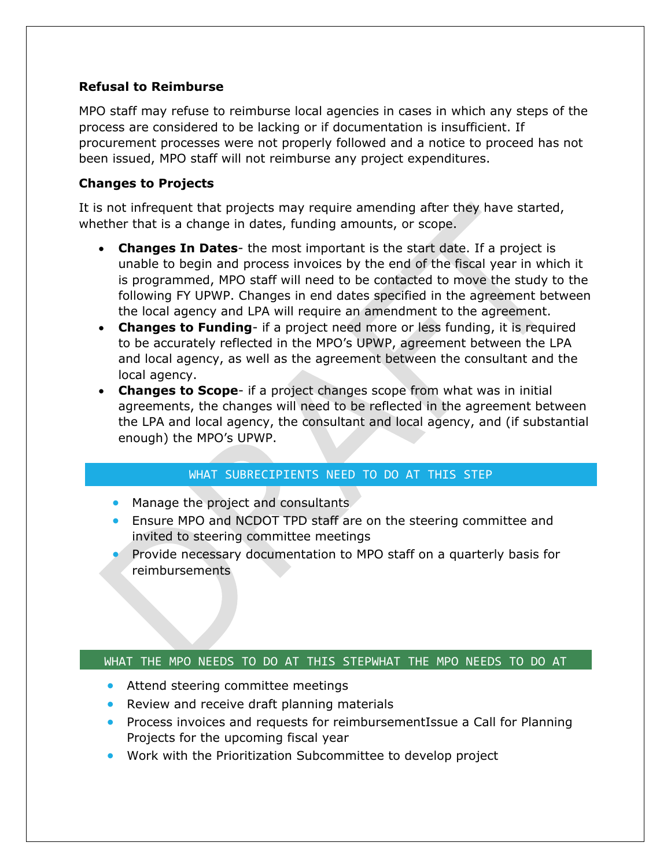### **Refusal to Reimburse**

MPO staff may refuse to reimburse local agencies in cases in which any steps of the process are considered to be lacking or if documentation is insufficient. If procurement processes were not properly followed and a notice to proceed has not been issued, MPO staff will not reimburse any project expenditures.

## **Changes to Projects**

It is not infrequent that projects may require amending after they have started, whether that is a change in dates, funding amounts, or scope.

- **Changes In Dates** the most important is the start date. If a project is unable to begin and process invoices by the end of the fiscal year in which it is programmed, MPO staff will need to be contacted to move the study to the following FY UPWP. Changes in end dates specified in the agreement between the local agency and LPA will require an amendment to the agreement.
- **Changes to Funding** if a project need more or less funding, it is required to be accurately reflected in the MPO's UPWP, agreement between the LPA and local agency, as well as the agreement between the consultant and the local agency.
- **Changes to Scope** if a project changes scope from what was in initial agreements, the changes will need to be reflected in the agreement between the LPA and local agency, the consultant and local agency, and (if substantial enough) the MPO's UPWP.

## WHAT SUBRECIPIENTS NEED TO DO AT THIS STEP

- Manage the project and consultants
- Ensure MPO and NCDOT TPD staff are on the steering committee and invited to steering committee meetings
- Provide necessary documentation to MPO staff on a quarterly basis for reimbursements

## WHAT THE MPO NEEDS TO DO AT THIS STEPWHAT THE MPO NEEDS TO DO AT

- Attend steering committee meetings
- Review and receive draft planning materials
- Process invoices and requests for reimbursementIssue a Call for Planning Projects for the upcoming fiscal year
- Work with the Prioritization Subcommittee to develop project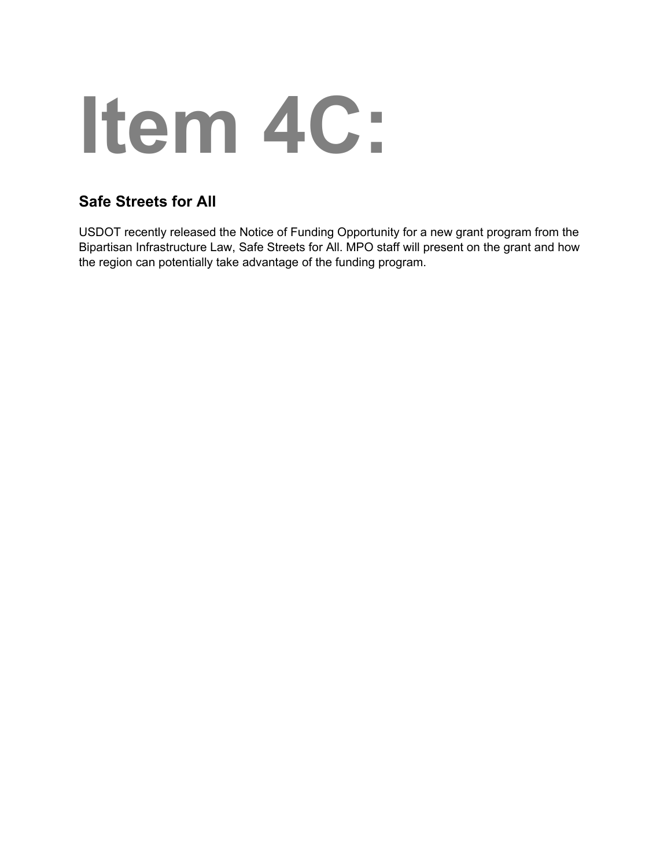# **Item 4C:**

# **Safe Streets for All**

USDOT recently released the Notice of Funding Opportunity for a new grant program from the Bipartisan Infrastructure Law, Safe Streets for All. MPO staff will present on the grant and how the region can potentially take advantage of the funding program.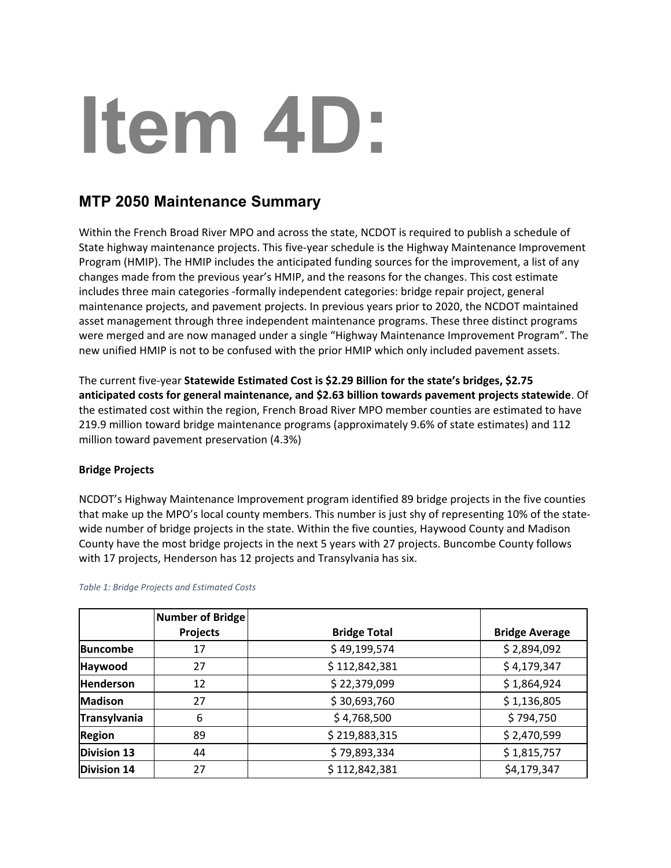# **Item 4D:**

# **MTP 2050 Maintenance Summary**

Within the French Broad River MPO and across the state, NCDOT is required to publish a schedule of State highway maintenance projects. This five-year schedule is the Highway Maintenance Improvement Program (HMIP). The HMIP includes the anticipated funding sources for the improvement, a list of any changes made from the previous year's HMIP, and the reasons for the changes. This cost estimate includes three main categories -formally independent categories: bridge repair project, general maintenance projects, and pavement projects. In previous years prior to 2020, the NCDOT maintained asset management through three independent maintenance programs. These three distinct programs were merged and are now managed under a single "Highway Maintenance Improvement Program". The new unified HMIP is not to be confused with the prior HMIP which only included pavement assets.

The current five-year **Statewide Estimated Cost is \$2.29 Billion for the state's bridges, \$2.75 anticipated costs for general maintenance, and \$2.63 billion towards pavement projects statewide**. Of the estimated cost within the region, French Broad River MPO member counties are estimated to have 219.9 million toward bridge maintenance programs (approximately 9.6% of state estimates) and 112 million toward pavement preservation (4.3%)

### **Bridge Projects**

NCDOT's Highway Maintenance Improvement program identified 89 bridge projects in the five counties that make up the MPO's local county members. This number is just shy of representing 10% of the statewide number of bridge projects in the state. Within the five counties, Haywood County and Madison County have the most bridge projects in the next 5 years with 27 projects. Buncombe County follows with 17 projects, Henderson has 12 projects and Transylvania has six.

|                     | <b>Number of Bridge</b><br>Projects | <b>Bridge Total</b> | <b>Bridge Average</b> |
|---------------------|-------------------------------------|---------------------|-----------------------|
| <b>Buncombe</b>     | 17                                  | \$49,199,574        | \$2,894,092           |
| Haywood             | 27                                  | \$112,842,381       | \$4,179,347           |
| <b>Henderson</b>    | 12                                  | \$22,379,099        | \$1,864,924           |
| <b>Madison</b>      | 27                                  | \$30,693,760        | \$1,136,805           |
| <b>Transylvania</b> | 6                                   | \$4,768,500         | \$794,750             |
| <b>Region</b>       | 89                                  | \$219,883,315       | \$2,470,599           |
| <b>Division 13</b>  | 44                                  | \$79,893,334        | \$1,815,757           |
| <b>Division 14</b>  | 27                                  | \$112,842,381       | \$4,179,347           |

*Table 1: Bridge Projects and Estimated Costs*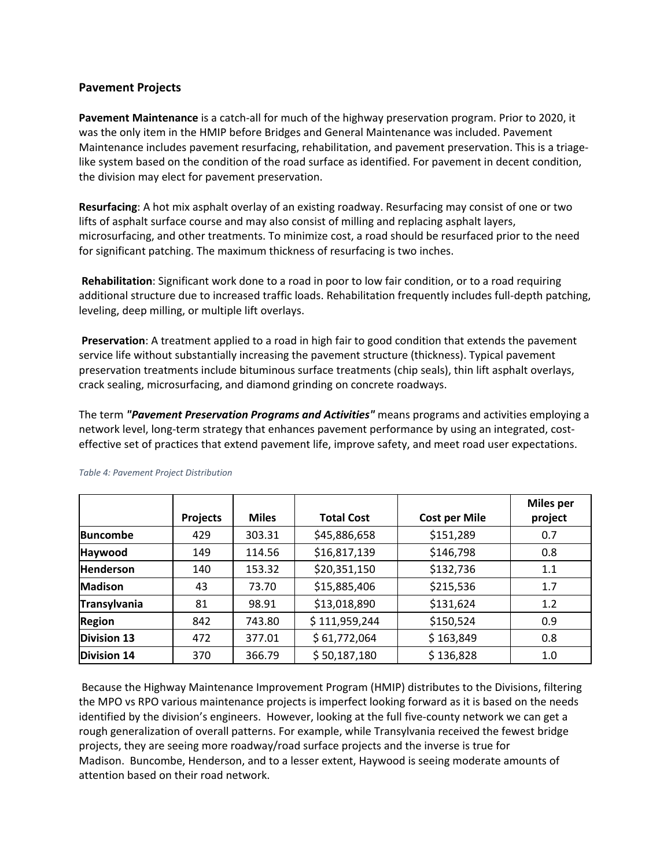### **Pavement Projects**

**Pavement Maintenance** is a catch-all for much of the highway preservation program. Prior to 2020, it was the only item in the HMIP before Bridges and General Maintenance was included. Pavement Maintenance includes pavement resurfacing, rehabilitation, and pavement preservation. This is a triagelike system based on the condition of the road surface as identified. For pavement in decent condition, the division may elect for pavement preservation.

**Resurfacing**: A hot mix asphalt overlay of an existing roadway. Resurfacing may consist of one or two lifts of asphalt surface course and may also consist of milling and replacing asphalt layers, microsurfacing, and other treatments. To minimize cost, a road should be resurfaced prior to the need for significant patching. The maximum thickness of resurfacing is two inches.

**Rehabilitation**: Significant work done to a road in poor to low fair condition, or to a road requiring additional structure due to increased traffic loads. Rehabilitation frequently includes full-depth patching, leveling, deep milling, or multiple lift overlays.

**Preservation**: A treatment applied to a road in high fair to good condition that extends the pavement service life without substantially increasing the pavement structure (thickness). Typical pavement preservation treatments include bituminous surface treatments (chip seals), thin lift asphalt overlays, crack sealing, microsurfacing, and diamond grinding on concrete roadways.

The term *"Pavement Preservation Programs and Activities"* means programs and activities employing a network level, long-term strategy that enhances pavement performance by using an integrated, costeffective set of practices that extend pavement life, improve safety, and meet road user expectations.

|                    |                 |              |                   |                      | <b>Miles per</b> |
|--------------------|-----------------|--------------|-------------------|----------------------|------------------|
|                    | <b>Projects</b> | <b>Miles</b> | <b>Total Cost</b> | <b>Cost per Mile</b> | project          |
| <b>Buncombe</b>    | 429             | 303.31       | \$45,886,658      | \$151,289            | 0.7              |
| Haywood            | 149             | 114.56       | \$16,817,139      | \$146,798            | 0.8              |
| <b>Henderson</b>   | 140             | 153.32       | \$20,351,150      | \$132,736            | 1.1              |
| <b>Madison</b>     | 43              | 73.70        | \$15,885,406      | \$215,536            | 1.7              |
| Transylvania       | 81              | 98.91        | \$13,018,890      | \$131,624            | 1.2              |
| <b>Region</b>      | 842             | 743.80       | \$111,959,244     | \$150,524            | 0.9              |
| <b>Division 13</b> | 472             | 377.01       | \$61,772,064      | \$163,849            | 0.8              |
| <b>Division 14</b> | 370             | 366.79       | \$50,187,180      | \$136,828            | 1.0              |

### *Table 4: Pavement Project Distribution*

Because the Highway Maintenance Improvement Program (HMIP) distributes to the Divisions, filtering the MPO vs RPO various maintenance projects is imperfect looking forward as it is based on the needs identified by the division's engineers. However, looking at the full five-county network we can get a rough generalization of overall patterns. For example, while Transylvania received the fewest bridge projects, they are seeing more roadway/road surface projects and the inverse is true for Madison. Buncombe, Henderson, and to a lesser extent, Haywood is seeing moderate amounts of attention based on their road network.